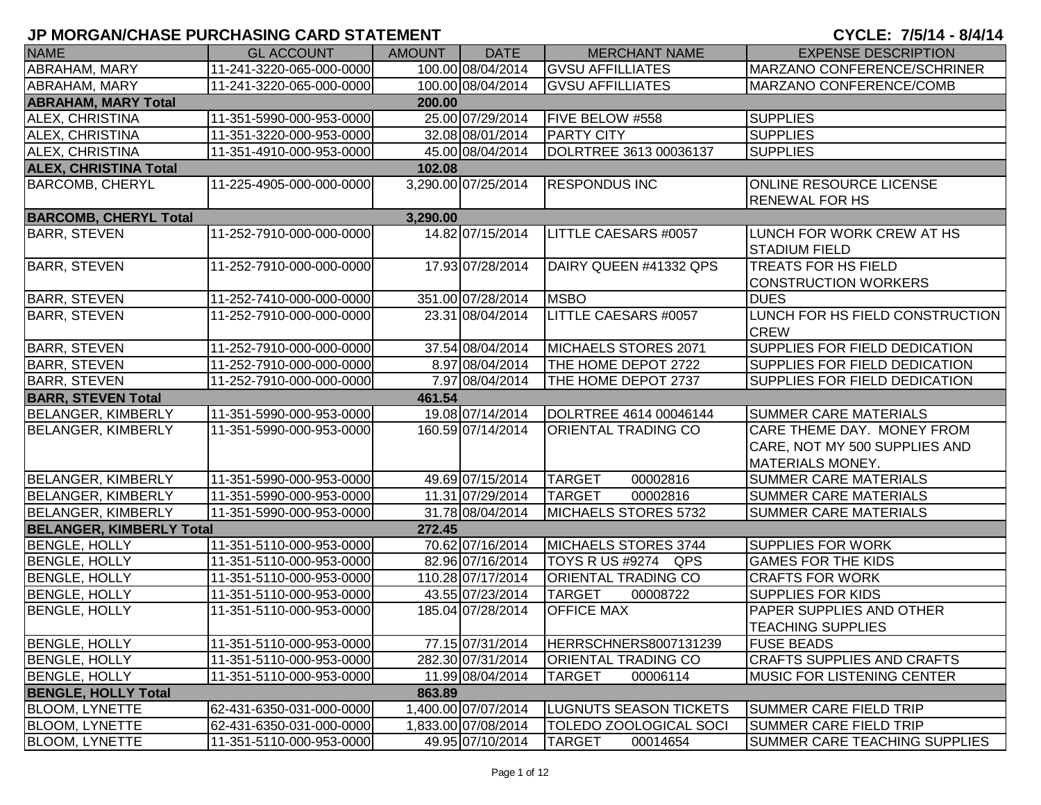| <b>NAME</b>                     | <b>GL ACCOUNT</b>        | AMOUNT   | <b>DATE</b>         | <b>MERCHANT NAME</b>          | <b>EXPENSE DESCRIPTION</b>           |
|---------------------------------|--------------------------|----------|---------------------|-------------------------------|--------------------------------------|
| <b>ABRAHAM, MARY</b>            | 11-241-3220-065-000-0000 |          | 100.00 08/04/2014   | <b>GVSU AFFILLIATES</b>       | MARZANO CONFERENCE/SCHRINER          |
| ABRAHAM, MARY                   | 11-241-3220-065-000-0000 |          | 100.00 08/04/2014   | <b>GVSU AFFILLIATES</b>       | MARZANO CONFERENCE/COMB              |
| <b>ABRAHAM, MARY Total</b>      |                          | 200.00   |                     |                               |                                      |
| ALEX, CHRISTINA                 | 11-351-5990-000-953-0000 |          | 25.00 07/29/2014    | FIVE BELOW #558               | <b>SUPPLIES</b>                      |
| ALEX, CHRISTINA                 | 11-351-3220-000-953-0000 |          | 32.08 08/01/2014    | <b>PARTY CITY</b>             | <b>SUPPLIES</b>                      |
| ALEX, CHRISTINA                 | 11-351-4910-000-953-0000 |          | 45.00 08/04/2014    | DOLRTREE 3613 00036137        | <b>SUPPLIES</b>                      |
| <b>ALEX, CHRISTINA Total</b>    |                          | 102.08   |                     |                               |                                      |
| <b>BARCOMB, CHERYL</b>          | 11-225-4905-000-000-0000 |          | 3,290.00 07/25/2014 | <b>RESPONDUS INC</b>          | <b>ONLINE RESOURCE LICENSE</b>       |
|                                 |                          |          |                     |                               | <b>RENEWAL FOR HS</b>                |
| <b>BARCOMB, CHERYL Total</b>    |                          | 3,290.00 |                     |                               |                                      |
| <b>BARR, STEVEN</b>             | 11-252-7910-000-000-0000 |          | 14.82 07/15/2014    | <b>LITTLE CAESARS #0057</b>   | LUNCH FOR WORK CREW AT HS            |
|                                 |                          |          |                     |                               | <b>STADIUM FIELD</b>                 |
| <b>BARR, STEVEN</b>             | 11-252-7910-000-000-0000 |          | 17.93 07/28/2014    | DAIRY QUEEN #41332 QPS        | <b>TREATS FOR HS FIELD</b>           |
|                                 |                          |          |                     |                               | <b>CONSTRUCTION WORKERS</b>          |
| <b>BARR, STEVEN</b>             | 11-252-7410-000-000-0000 |          | 351.00 07/28/2014   | <b>MSBO</b>                   | <b>DUES</b>                          |
| <b>BARR, STEVEN</b>             | 11-252-7910-000-000-0000 |          | 23.31 08/04/2014    | LITTLE CAESARS #0057          | LUNCH FOR HS FIELD CONSTRUCTION      |
|                                 |                          |          |                     |                               | <b>CREW</b>                          |
| <b>BARR, STEVEN</b>             | 11-252-7910-000-000-0000 |          | 37.54 08/04/2014    | MICHAELS STORES 2071          | <b>SUPPLIES FOR FIELD DEDICATION</b> |
| <b>BARR, STEVEN</b>             | 11-252-7910-000-000-0000 |          | 8.97 08/04/2014     | THE HOME DEPOT 2722           | <b>SUPPLIES FOR FIELD DEDICATION</b> |
| <b>BARR, STEVEN</b>             | 11-252-7910-000-000-0000 |          | 7.97 08/04/2014     | THE HOME DEPOT 2737           | SUPPLIES FOR FIELD DEDICATION        |
| <b>BARR, STEVEN Total</b>       |                          | 461.54   |                     |                               |                                      |
| <b>BELANGER, KIMBERLY</b>       | 11-351-5990-000-953-0000 |          | 19.08 07/14/2014    | DOLRTREE 4614 00046144        | <b>SUMMER CARE MATERIALS</b>         |
| <b>BELANGER, KIMBERLY</b>       | 11-351-5990-000-953-0000 |          | 160.59 07/14/2014   | ORIENTAL TRADING CO           | CARE THEME DAY. MONEY FROM           |
|                                 |                          |          |                     |                               | CARE, NOT MY 500 SUPPLIES AND        |
|                                 |                          |          |                     |                               | MATERIALS MONEY.                     |
| <b>BELANGER, KIMBERLY</b>       | 11-351-5990-000-953-0000 |          | 49.69 07/15/2014    | 00002816<br><b>TARGET</b>     | <b>SUMMER CARE MATERIALS</b>         |
| <b>BELANGER, KIMBERLY</b>       | 11-351-5990-000-953-0000 |          | 11.31 07/29/2014    | <b>TARGET</b><br>00002816     | <b>SUMMER CARE MATERIALS</b>         |
| <b>BELANGER, KIMBERLY</b>       | 11-351-5990-000-953-0000 |          | 31.78 08/04/2014    | MICHAELS STORES 5732          | <b>SUMMER CARE MATERIALS</b>         |
| <b>BELANGER, KIMBERLY Total</b> |                          | 272.45   |                     |                               |                                      |
| <b>BENGLE, HOLLY</b>            | 11-351-5110-000-953-0000 |          | 70.62 07/16/2014    | MICHAELS STORES 3744          | <b>SUPPLIES FOR WORK</b>             |
| <b>BENGLE, HOLLY</b>            | 11-351-5110-000-953-0000 |          | 82.96 07/16/2014    | TOYS R US #9274 QPS           | <b>GAMES FOR THE KIDS</b>            |
| <b>BENGLE, HOLLY</b>            | 11-351-5110-000-953-0000 |          | 110.28 07/17/2014   | ORIENTAL TRADING CO           | <b>CRAFTS FOR WORK</b>               |
| <b>BENGLE, HOLLY</b>            | 11-351-5110-000-953-0000 |          | 43.55 07/23/2014    | <b>TARGET</b><br>00008722     | <b>SUPPLIES FOR KIDS</b>             |
| <b>BENGLE, HOLLY</b>            | 11-351-5110-000-953-0000 |          | 185.04 07/28/2014   | <b>OFFICE MAX</b>             | <b>PAPER SUPPLIES AND OTHER</b>      |
|                                 |                          |          |                     |                               | <b>TEACHING SUPPLIES</b>             |
| <b>BENGLE, HOLLY</b>            | 11-351-5110-000-953-0000 |          | 77.15 07/31/2014    | HERRSCHNERS8007131239         | <b>FUSE BEADS</b>                    |
| <b>BENGLE, HOLLY</b>            | 11-351-5110-000-953-0000 |          | 282.30 07/31/2014   | <b>ORIENTAL TRADING CO</b>    | <b>CRAFTS SUPPLIES AND CRAFTS</b>    |
| <b>BENGLE, HOLLY</b>            | 11-351-5110-000-953-0000 |          | 11.99 08/04/2014    | <b>TARGET</b><br>00006114     | <b>MUSIC FOR LISTENING CENTER</b>    |
| <b>BENGLE, HOLLY Total</b>      |                          | 863.89   |                     |                               |                                      |
| <b>BLOOM, LYNETTE</b>           | 62-431-6350-031-000-0000 |          | 1,400.00 07/07/2014 | <b>LUGNUTS SEASON TICKETS</b> | <b>SUMMER CARE FIELD TRIP</b>        |
| <b>BLOOM, LYNETTE</b>           | 62-431-6350-031-000-0000 |          | 1,833.00 07/08/2014 | <b>TOLEDO ZOOLOGICAL SOCI</b> | <b>SUMMER CARE FIELD TRIP</b>        |
| <b>BLOOM, LYNETTE</b>           | 11-351-5110-000-953-0000 |          | 49.95 07/10/2014    | <b>TARGET</b><br>00014654     | SUMMER CARE TEACHING SUPPLIES        |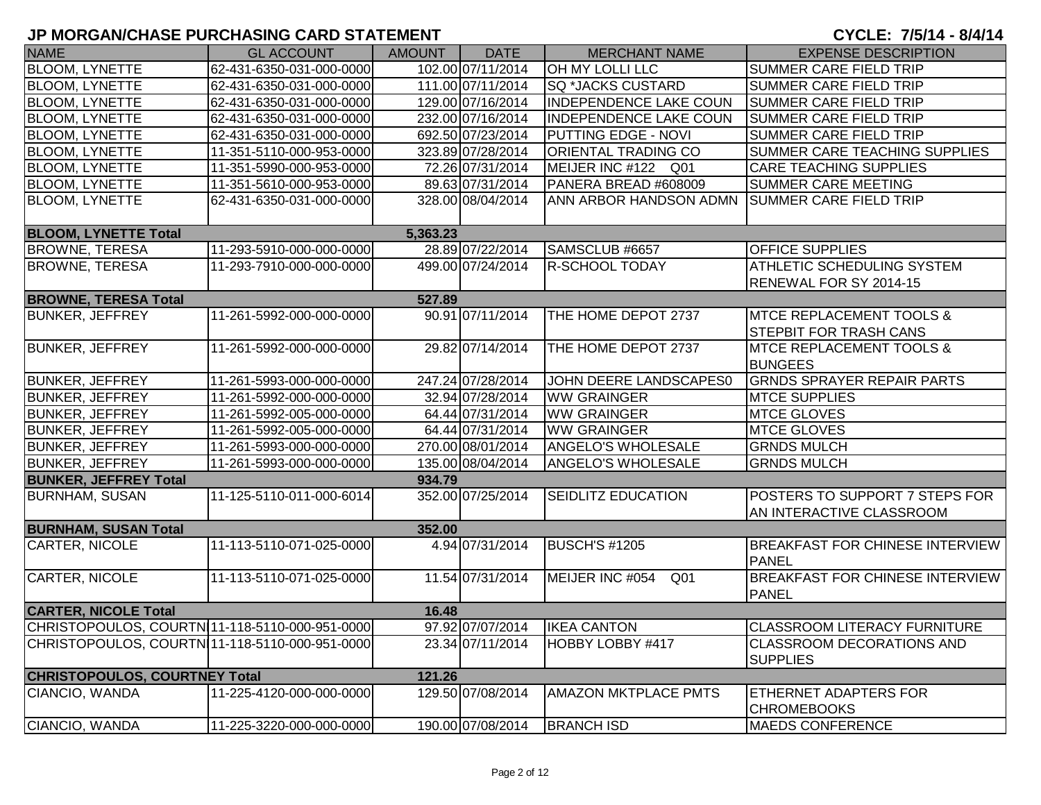| <b>NAME</b>                                    | <b>GL ACCOUNT</b>        | AMOUNT   | <b>DATE</b>       | <b>MERCHANT NAME</b>               | <b>EXPENSE DESCRIPTION</b>                             |
|------------------------------------------------|--------------------------|----------|-------------------|------------------------------------|--------------------------------------------------------|
| <b>BLOOM, LYNETTE</b>                          | 62-431-6350-031-000-0000 |          | 102.00 07/11/2014 | <b>OH MY LOLLI LLC</b>             | <b>SUMMER CARE FIELD TRIP</b>                          |
| <b>BLOOM, LYNETTE</b>                          | 62-431-6350-031-000-0000 |          | 111.00 07/11/2014 | <b>SQ *JACKS CUSTARD</b>           | <b>SUMMER CARE FIELD TRIP</b>                          |
| <b>BLOOM, LYNETTE</b>                          | 62-431-6350-031-000-0000 |          | 129.00 07/16/2014 | <b>INDEPENDENCE LAKE COUN</b>      | <b>SUMMER CARE FIELD TRIP</b>                          |
| <b>BLOOM, LYNETTE</b>                          | 62-431-6350-031-000-0000 |          | 232.00 07/16/2014 | <b>INDEPENDENCE LAKE COUN</b>      | <b>SUMMER CARE FIELD TRIP</b>                          |
| <b>BLOOM, LYNETTE</b>                          | 62-431-6350-031-000-0000 |          | 692.50 07/23/2014 | <b>PUTTING EDGE - NOVI</b>         | <b>SUMMER CARE FIELD TRIP</b>                          |
| <b>BLOOM, LYNETTE</b>                          | 11-351-5110-000-953-0000 |          | 323.89 07/28/2014 | ORIENTAL TRADING CO                | SUMMER CARE TEACHING SUPPLIES                          |
| <b>BLOOM, LYNETTE</b>                          | 11-351-5990-000-953-0000 |          | 72.26 07/31/2014  | MEIJER INC #122 Q01                | <b>CARE TEACHING SUPPLIES</b>                          |
| <b>BLOOM, LYNETTE</b>                          | 11-351-5610-000-953-0000 |          | 89.63 07/31/2014  | PANERA BREAD #608009               | SUMMER CARE MEETING                                    |
| <b>BLOOM, LYNETTE</b>                          | 62-431-6350-031-000-0000 |          | 328.00 08/04/2014 | ANN ARBOR HANDSON ADMN             | <b>SUMMER CARE FIELD TRIP</b>                          |
| <b>BLOOM, LYNETTE Total</b>                    |                          | 5,363.23 |                   |                                    |                                                        |
| <b>BROWNE, TERESA</b>                          | 11-293-5910-000-000-0000 |          | 28.89 07/22/2014  | SAMSCLUB #6657                     | <b>OFFICE SUPPLIES</b>                                 |
| <b>BROWNE, TERESA</b>                          | 11-293-7910-000-000-0000 |          | 499.00 07/24/2014 | <b>R-SCHOOL TODAY</b>              | <b>ATHLETIC SCHEDULING SYSTEM</b>                      |
|                                                |                          |          |                   |                                    | RENEWAL FOR SY 2014-15                                 |
| <b>BROWNE, TERESA Total</b>                    |                          | 527.89   |                   |                                    |                                                        |
| <b>BUNKER, JEFFREY</b>                         | 11-261-5992-000-000-0000 |          | 90.91 07/11/2014  | THE HOME DEPOT 2737                | <b>MTCE REPLACEMENT TOOLS &amp;</b>                    |
|                                                |                          |          |                   |                                    | <b>STEPBIT FOR TRASH CANS</b>                          |
| <b>BUNKER, JEFFREY</b>                         | 11-261-5992-000-000-0000 |          | 29.82 07/14/2014  | THE HOME DEPOT 2737                | <b>MTCE REPLACEMENT TOOLS &amp;</b>                    |
|                                                |                          |          |                   |                                    | <b>BUNGEES</b>                                         |
| <b>BUNKER, JEFFREY</b>                         | 11-261-5993-000-000-0000 |          | 247.24 07/28/2014 | JOHN DEERE LANDSCAPES0             | <b>GRNDS SPRAYER REPAIR PARTS</b>                      |
| <b>BUNKER, JEFFREY</b>                         | 11-261-5992-000-000-0000 |          | 32.94 07/28/2014  | <b>WW GRAINGER</b>                 | <b>MTCE SUPPLIES</b>                                   |
| <b>BUNKER, JEFFREY</b>                         | 11-261-5992-005-000-0000 |          | 64.44 07/31/2014  | <b>WW GRAINGER</b>                 | <b>MTCE GLOVES</b>                                     |
| <b>BUNKER, JEFFREY</b>                         | 11-261-5992-005-000-0000 |          | 64.44 07/31/2014  | <b>WW GRAINGER</b>                 | <b>MTCE GLOVES</b>                                     |
| <b>BUNKER, JEFFREY</b>                         | 11-261-5993-000-000-0000 |          | 270.00 08/01/2014 | ANGELO'S WHOLESALE                 | <b>GRNDS MULCH</b>                                     |
| <b>BUNKER, JEFFREY</b>                         | 11-261-5993-000-000-0000 |          | 135.00 08/04/2014 | ANGELO'S WHOLESALE                 | <b>GRNDS MULCH</b>                                     |
| <b>BUNKER, JEFFREY Total</b>                   |                          | 934.79   |                   |                                    |                                                        |
| <b>BURNHAM, SUSAN</b>                          | 11-125-5110-011-000-6014 |          | 352.00 07/25/2014 | SEIDLITZ EDUCATION                 | POSTERS TO SUPPORT 7 STEPS FOR                         |
|                                                |                          |          |                   |                                    | AN INTERACTIVE CLASSROOM                               |
| <b>BURNHAM, SUSAN Total</b>                    |                          | 352.00   |                   |                                    |                                                        |
| <b>CARTER, NICOLE</b>                          | 11-113-5110-071-025-0000 |          | 4.94 07/31/2014   | <b>BUSCH'S #1205</b>               | <b>BREAKFAST FOR CHINESE INTERVIEW</b><br><b>PANEL</b> |
| CARTER, NICOLE                                 | 11-113-5110-071-025-0000 |          | 11.54 07/31/2014  | MEIJER INC #054<br>Q <sub>01</sub> | BREAKFAST FOR CHINESE INTERVIEW<br><b>PANEL</b>        |
| <b>CARTER, NICOLE Total</b>                    |                          | 16.48    |                   |                                    |                                                        |
| CHRISTOPOULOS, COURTN 11-118-5110-000-951-0000 |                          |          | 97.92 07/07/2014  | <b>IKEA CANTON</b>                 | <b>CLASSROOM LITERACY FURNITURE</b>                    |
| CHRISTOPOULOS, COURTN 11-118-5110-000-951-0000 |                          |          | 23.34 07/11/2014  | HOBBY LOBBY #417                   | <b>CLASSROOM DECORATIONS AND</b><br><b>SUPPLIES</b>    |
| <b>CHRISTOPOULOS, COURTNEY Total</b>           |                          | 121.26   |                   |                                    |                                                        |
| CIANCIO, WANDA                                 | 11-225-4120-000-000-0000 |          | 129.50 07/08/2014 | <b>AMAZON MKTPLACE PMTS</b>        | <b>ETHERNET ADAPTERS FOR</b><br><b>CHROMEBOOKS</b>     |
| CIANCIO, WANDA                                 | 11-225-3220-000-000-0000 |          | 190.00 07/08/2014 | <b>BRANCH ISD</b>                  | <b>MAEDS CONFERENCE</b>                                |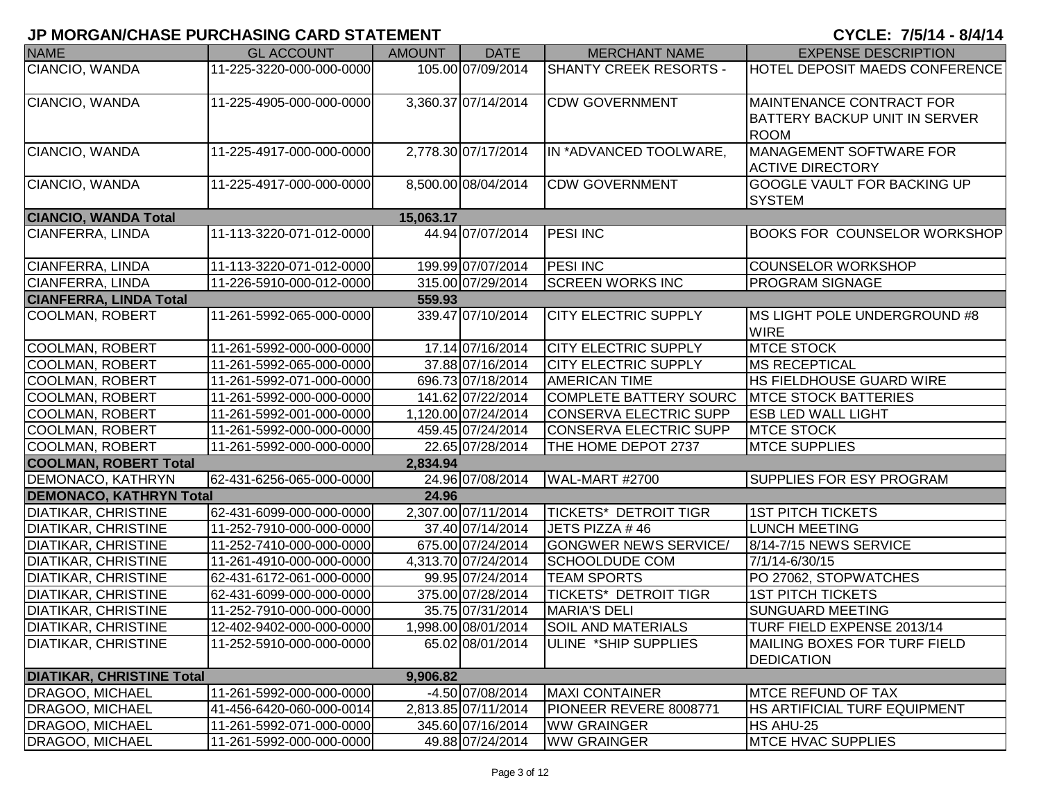| <b>NAME</b>                      | <b>GL ACCOUNT</b>        | <b>AMOUNT</b> | <b>DATE</b>         | <b>MERCHANT NAME</b>         | <b>EXPENSE DESCRIPTION</b>           |
|----------------------------------|--------------------------|---------------|---------------------|------------------------------|--------------------------------------|
| CIANCIO, WANDA                   | 11-225-3220-000-000-0000 |               | 105.00 07/09/2014   | SHANTY CREEK RESORTS -       | HOTEL DEPOSIT MAEDS CONFERENCE       |
|                                  |                          |               |                     |                              |                                      |
| CIANCIO, WANDA                   | 11-225-4905-000-000-0000 |               | 3,360.37 07/14/2014 | <b>CDW GOVERNMENT</b>        | MAINTENANCE CONTRACT FOR             |
|                                  |                          |               |                     |                              | <b>BATTERY BACKUP UNIT IN SERVER</b> |
|                                  |                          |               |                     |                              | <b>ROOM</b>                          |
| CIANCIO, WANDA                   | 11-225-4917-000-000-0000 |               | 2,778.30 07/17/2014 | IN *ADVANCED TOOLWARE,       | MANAGEMENT SOFTWARE FOR              |
|                                  |                          |               |                     |                              | <b>ACTIVE DIRECTORY</b>              |
| CIANCIO, WANDA                   | 11-225-4917-000-000-0000 |               | 8,500.00 08/04/2014 | <b>CDW GOVERNMENT</b>        | GOOGLE VAULT FOR BACKING UP          |
|                                  |                          |               |                     |                              | <b>SYSTEM</b>                        |
| <b>CIANCIO, WANDA Total</b>      |                          | 15,063.17     |                     |                              |                                      |
| CIANFERRA, LINDA                 | 11-113-3220-071-012-0000 |               | 44.94 07/07/2014    | <b>PESI INC</b>              | <b>BOOKS FOR COUNSELOR WORKSHOP</b>  |
|                                  |                          |               |                     |                              |                                      |
| CIANFERRA, LINDA                 | 11-113-3220-071-012-0000 |               | 199.99 07/07/2014   | <b>PESI INC</b>              | <b>COUNSELOR WORKSHOP</b>            |
| CIANFERRA, LINDA                 | 11-226-5910-000-012-0000 |               | 315.00 07/29/2014   | <b>SCREEN WORKS INC</b>      | <b>PROGRAM SIGNAGE</b>               |
| <b>CIANFERRA, LINDA Total</b>    |                          | 559.93        |                     |                              |                                      |
| COOLMAN, ROBERT                  | 11-261-5992-065-000-0000 |               | 339.47 07/10/2014   | <b>CITY ELECTRIC SUPPLY</b>  | <b>IMS LIGHT POLE UNDERGROUND #8</b> |
|                                  |                          |               |                     |                              | <b>WIRE</b>                          |
| <b>COOLMAN, ROBERT</b>           | 11-261-5992-000-000-0000 |               | 17.14 07/16/2014    | <b>CITY ELECTRIC SUPPLY</b>  | <b>MTCE STOCK</b>                    |
| <b>COOLMAN, ROBERT</b>           | 11-261-5992-065-000-0000 |               | 37.88 07/16/2014    | <b>CITY ELECTRIC SUPPLY</b>  | <b>MS RECEPTICAL</b>                 |
| <b>COOLMAN, ROBERT</b>           | 11-261-5992-071-000-0000 |               | 696.73 07/18/2014   | <b>AMERICAN TIME</b>         | HS FIELDHOUSE GUARD WIRE             |
| <b>COOLMAN, ROBERT</b>           | 11-261-5992-000-000-0000 |               | 141.62 07/22/2014   | COMPLETE BATTERY SOURC       | <b>MTCE STOCK BATTERIES</b>          |
| <b>COOLMAN, ROBERT</b>           | 11-261-5992-001-000-0000 |               | 1,120.00 07/24/2014 | CONSERVA ELECTRIC SUPP       | <b>ESB LED WALL LIGHT</b>            |
| <b>COOLMAN, ROBERT</b>           | 11-261-5992-000-000-0000 |               | 459.45 07/24/2014   | CONSERVA ELECTRIC SUPP       | <b>MTCE STOCK</b>                    |
| <b>COOLMAN, ROBERT</b>           | 11-261-5992-000-000-0000 |               | 22.65 07/28/2014    | THE HOME DEPOT 2737          | <b>MTCE SUPPLIES</b>                 |
| <b>COOLMAN, ROBERT Total</b>     |                          | 2,834.94      |                     |                              |                                      |
| DEMONACO, KATHRYN                | 62-431-6256-065-000-0000 |               | 24.96 07/08/2014    | WAL-MART #2700               | SUPPLIES FOR ESY PROGRAM             |
| <b>DEMONACO, KATHRYN Total</b>   |                          | 24.96         |                     |                              |                                      |
| <b>DIATIKAR, CHRISTINE</b>       | 62-431-6099-000-000-0000 |               | 2,307.00 07/11/2014 | TICKETS* DETROIT TIGR        | <b>1ST PITCH TICKETS</b>             |
| <b>DIATIKAR, CHRISTINE</b>       | 11-252-7910-000-000-0000 |               | 37.40 07/14/2014    | JETS PIZZA #46               | <b>LUNCH MEETING</b>                 |
| <b>DIATIKAR, CHRISTINE</b>       | 11-252-7410-000-000-0000 |               | 675.00 07/24/2014   | <b>GONGWER NEWS SERVICE/</b> | 8/14-7/15 NEWS SERVICE               |
| <b>DIATIKAR, CHRISTINE</b>       | 11-261-4910-000-000-0000 |               | 4,313.70 07/24/2014 | <b>SCHOOLDUDE COM</b>        | 7/1/14-6/30/15                       |
| <b>DIATIKAR, CHRISTINE</b>       | 62-431-6172-061-000-0000 |               | 99.95 07/24/2014    | <b>TEAM SPORTS</b>           | PO 27062, STOPWATCHES                |
| <b>DIATIKAR, CHRISTINE</b>       | 62-431-6099-000-000-0000 |               | 375.00 07/28/2014   | TICKETS* DETROIT TIGR        | <b>1ST PITCH TICKETS</b>             |
| <b>DIATIKAR, CHRISTINE</b>       | 11-252-7910-000-000-0000 |               | 35.75 07/31/2014    | <b>MARIA'S DELI</b>          | <b>SUNGUARD MEETING</b>              |
| <b>DIATIKAR, CHRISTINE</b>       | 12-402-9402-000-000-0000 |               | 1,998.00 08/01/2014 | <b>SOIL AND MATERIALS</b>    | TURF FIELD EXPENSE 2013/14           |
| <b>DIATIKAR, CHRISTINE</b>       | 11-252-5910-000-000-0000 |               | 65.02 08/01/2014    | ULINE *SHIP SUPPLIES         | MAILING BOXES FOR TURF FIELD         |
|                                  |                          |               |                     |                              | <b>DEDICATION</b>                    |
| <b>DIATIKAR, CHRISTINE Total</b> |                          | 9,906.82      |                     |                              |                                      |
| <b>DRAGOO, MICHAEL</b>           | 11-261-5992-000-000-0000 |               | -4.50 07/08/2014    | <b>MAXI CONTAINER</b>        | <b>MTCE REFUND OF TAX</b>            |
| <b>DRAGOO, MICHAEL</b>           | 41-456-6420-060-000-0014 |               | 2,813.85 07/11/2014 | PIONEER REVERE 8008771       | HS ARTIFICIAL TURF EQUIPMENT         |
| <b>DRAGOO, MICHAEL</b>           | 11-261-5992-071-000-0000 |               | 345.60 07/16/2014   | <b>WW GRAINGER</b>           | HS AHU-25                            |
| <b>DRAGOO, MICHAEL</b>           | 11-261-5992-000-000-0000 |               | 49.88 07/24/2014    | <b>WW GRAINGER</b>           | <b>MTCE HVAC SUPPLIES</b>            |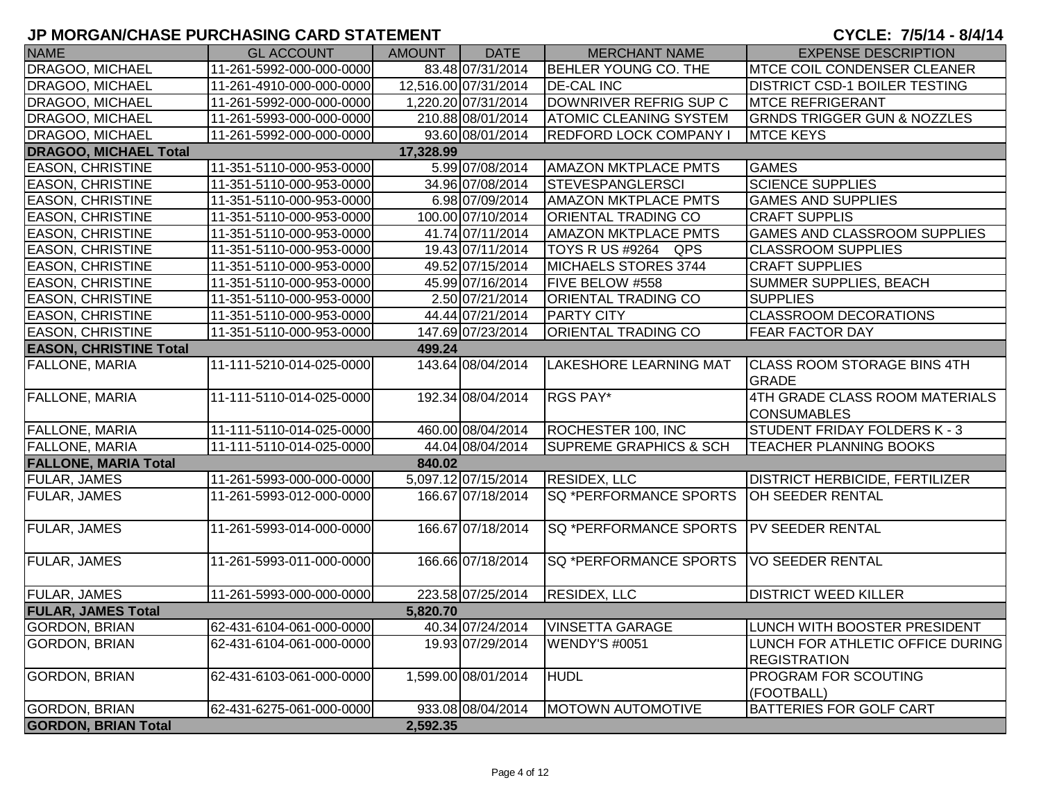| <b>NAME</b>                   | <b>GL ACCOUNT</b>        | AMOUNT    | <b>DATE</b>          | <b>MERCHANT NAME</b>              | <b>EXPENSE DESCRIPTION</b>                              |
|-------------------------------|--------------------------|-----------|----------------------|-----------------------------------|---------------------------------------------------------|
| DRAGOO, MICHAEL               | 11-261-5992-000-000-0000 |           | 83.48 07/31/2014     | <b>BEHLER YOUNG CO. THE</b>       | <b>MTCE COIL CONDENSER CLEANER</b>                      |
| <b>DRAGOO, MICHAEL</b>        | 11-261-4910-000-000-0000 |           | 12,516.00 07/31/2014 | <b>DE-CAL INC</b>                 | <b>DISTRICT CSD-1 BOILER TESTING</b>                    |
| <b>DRAGOO, MICHAEL</b>        | 11-261-5992-000-000-0000 |           | 1,220.20 07/31/2014  | DOWNRIVER REFRIG SUP C            | <b>MTCE REFRIGERANT</b>                                 |
| DRAGOO, MICHAEL               | 11-261-5993-000-000-0000 |           | 210.88 08/01/2014    | <b>ATOMIC CLEANING SYSTEM</b>     | <b>GRNDS TRIGGER GUN &amp; NOZZLES</b>                  |
| DRAGOO, MICHAEL               | 11-261-5992-000-000-0000 |           | 93.60 08/01/2014     | <b>REDFORD LOCK COMPANY I</b>     | <b>MTCE KEYS</b>                                        |
| <b>DRAGOO, MICHAEL Total</b>  |                          | 17,328.99 |                      |                                   |                                                         |
| <b>EASON, CHRISTINE</b>       | 11-351-5110-000-953-0000 |           | 5.99 07/08/2014      | <b>AMAZON MKTPLACE PMTS</b>       | <b>GAMES</b>                                            |
| <b>EASON, CHRISTINE</b>       | 11-351-5110-000-953-0000 |           | 34.96 07/08/2014     | <b>STEVESPANGLERSCI</b>           | <b>SCIENCE SUPPLIES</b>                                 |
| <b>EASON, CHRISTINE</b>       | 11-351-5110-000-953-0000 |           | 6.98 07/09/2014      | <b>AMAZON MKTPLACE PMTS</b>       | <b>GAMES AND SUPPLIES</b>                               |
| <b>EASON, CHRISTINE</b>       | 11-351-5110-000-953-0000 |           | 100.00 07/10/2014    | <b>ORIENTAL TRADING CO</b>        | <b>CRAFT SUPPLIS</b>                                    |
| <b>EASON, CHRISTINE</b>       | 11-351-5110-000-953-0000 |           | 41.74 07/11/2014     | <b>AMAZON MKTPLACE PMTS</b>       | <b>GAMES AND CLASSROOM SUPPLIES</b>                     |
| <b>EASON, CHRISTINE</b>       | 11-351-5110-000-953-0000 |           | 19.43 07/11/2014     | TOYS R US #9264 QPS               | <b>CLASSROOM SUPPLIES</b>                               |
| <b>EASON, CHRISTINE</b>       | 11-351-5110-000-953-0000 |           | 49.52 07/15/2014     | MICHAELS STORES 3744              | <b>CRAFT SUPPLIES</b>                                   |
| <b>EASON, CHRISTINE</b>       | 11-351-5110-000-953-0000 |           | 45.99 07/16/2014     | FIVE BELOW #558                   | <b>SUMMER SUPPLIES, BEACH</b>                           |
| <b>EASON, CHRISTINE</b>       | 11-351-5110-000-953-0000 |           | 2.50 07/21/2014      | <b>ORIENTAL TRADING CO</b>        | <b>SUPPLIES</b>                                         |
| <b>EASON, CHRISTINE</b>       | 11-351-5110-000-953-0000 |           | 44.44 07/21/2014     | <b>PARTY CITY</b>                 | <b>CLASSROOM DECORATIONS</b>                            |
| <b>EASON, CHRISTINE</b>       | 11-351-5110-000-953-0000 |           | 147.69 07/23/2014    | ORIENTAL TRADING CO               | <b>FEAR FACTOR DAY</b>                                  |
| <b>EASON, CHRISTINE Total</b> |                          | 499.24    |                      |                                   |                                                         |
| <b>FALLONE, MARIA</b>         | 11-111-5210-014-025-0000 |           | 143.64 08/04/2014    | <b>LAKESHORE LEARNING MAT</b>     | <b>CLASS ROOM STORAGE BINS 4TH</b><br><b>GRADE</b>      |
| <b>FALLONE, MARIA</b>         | 11-111-5110-014-025-0000 |           | 192.34 08/04/2014    | RGS PAY*                          | 4TH GRADE CLASS ROOM MATERIALS<br><b>CONSUMABLES</b>    |
| <b>FALLONE, MARIA</b>         | 11-111-5110-014-025-0000 |           | 460.00 08/04/2014    | ROCHESTER 100, INC                | STUDENT FRIDAY FOLDERS K - 3                            |
| <b>FALLONE, MARIA</b>         | 11-111-5110-014-025-0000 |           | 44.04 08/04/2014     | <b>SUPREME GRAPHICS &amp; SCH</b> | <b>TEACHER PLANNING BOOKS</b>                           |
| <b>FALLONE, MARIA Total</b>   |                          | 840.02    |                      |                                   |                                                         |
| <b>FULAR, JAMES</b>           | 11-261-5993-000-000-0000 |           | 5,097.12 07/15/2014  | <b>RESIDEX, LLC</b>               | <b>DISTRICT HERBICIDE, FERTILIZER</b>                   |
| <b>FULAR, JAMES</b>           | 11-261-5993-012-000-0000 |           | 166.67 07/18/2014    | SQ *PERFORMANCE SPORTS            | OH SEEDER RENTAL                                        |
| <b>FULAR, JAMES</b>           | 11-261-5993-014-000-0000 |           | 166.67 07/18/2014    | SQ *PERFORMANCE SPORTS            | <b>PV SEEDER RENTAL</b>                                 |
| <b>FULAR, JAMES</b>           | 11-261-5993-011-000-0000 |           | 166.66 07/18/2014    | SQ *PERFORMANCE SPORTS            | <b>VO SEEDER RENTAL</b>                                 |
| <b>FULAR, JAMES</b>           | 11-261-5993-000-000-0000 |           | 223.58 07/25/2014    | <b>RESIDEX, LLC</b>               | <b>DISTRICT WEED KILLER</b>                             |
| <b>FULAR, JAMES Total</b>     |                          | 5,820.70  |                      |                                   |                                                         |
| <b>GORDON, BRIAN</b>          | 62-431-6104-061-000-0000 |           | 40.34 07/24/2014     | <b>VINSETTA GARAGE</b>            | LUNCH WITH BOOSTER PRESIDENT                            |
| <b>GORDON, BRIAN</b>          | 62-431-6104-061-000-0000 |           | 19.93 07/29/2014     | <b>WENDY'S #0051</b>              | LUNCH FOR ATHLETIC OFFICE DURING<br><b>REGISTRATION</b> |
| <b>GORDON, BRIAN</b>          | 62-431-6103-061-000-0000 |           | 1,599.00 08/01/2014  | <b>HUDL</b>                       | <b>PROGRAM FOR SCOUTING</b><br>(FOOTBALL)               |
| <b>GORDON, BRIAN</b>          | 62-431-6275-061-000-0000 |           | 933.08 08/04/2014    | <b>MOTOWN AUTOMOTIVE</b>          | <b>BATTERIES FOR GOLF CART</b>                          |
| <b>GORDON, BRIAN Total</b>    |                          | 2,592.35  |                      |                                   |                                                         |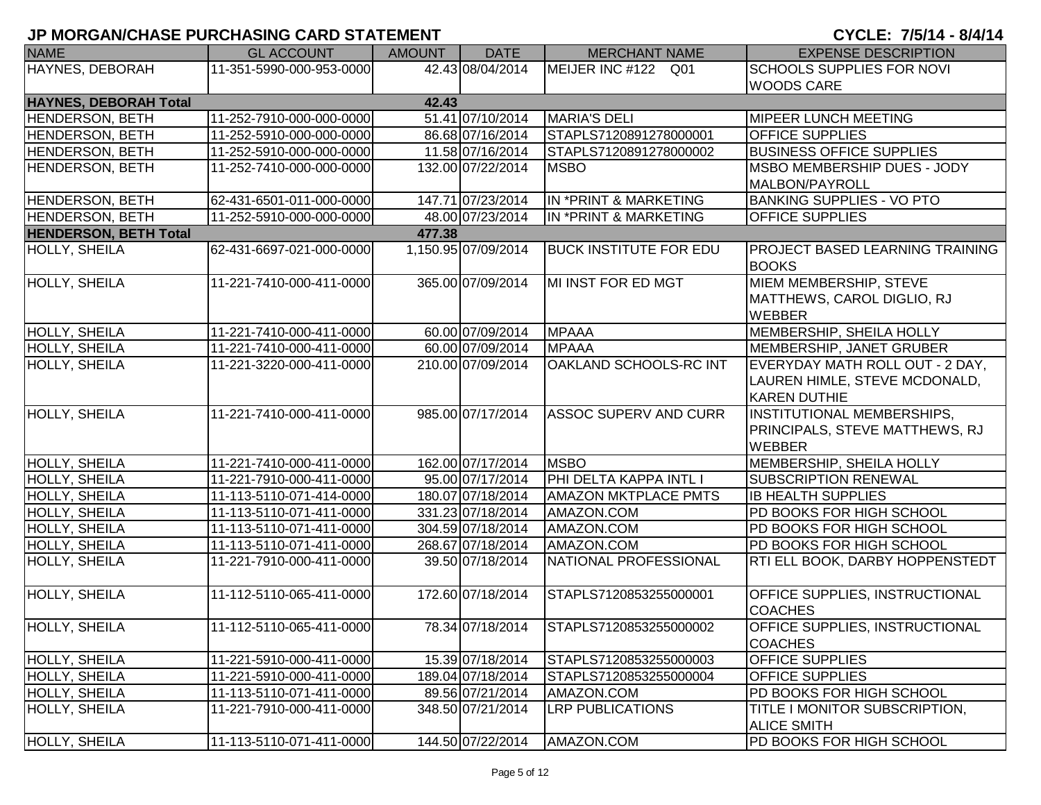| <b>NAME</b>                  | <b>GL ACCOUNT</b>        | AMOUNT | <b>DATE</b>         | <b>MERCHANT NAME</b>          | <b>EXPENSE DESCRIPTION</b>                              |
|------------------------------|--------------------------|--------|---------------------|-------------------------------|---------------------------------------------------------|
| HAYNES, DEBORAH              | 11-351-5990-000-953-0000 |        | 42.43 08/04/2014    | MEIJER INC #122 Q01           | <b>SCHOOLS SUPPLIES FOR NOVI</b>                        |
|                              |                          |        |                     |                               | <b>WOODS CARE</b>                                       |
| <b>HAYNES, DEBORAH Total</b> |                          | 42.43  |                     |                               |                                                         |
| <b>HENDERSON, BETH</b>       | 11-252-7910-000-000-0000 |        | 51.41 07/10/2014    | <b>MARIA'S DELI</b>           | <b>MIPEER LUNCH MEETING</b>                             |
| <b>HENDERSON, BETH</b>       | 11-252-5910-000-000-0000 |        | 86.68 07/16/2014    | STAPLS7120891278000001        | <b>OFFICE SUPPLIES</b>                                  |
| <b>HENDERSON, BETH</b>       | 11-252-5910-000-000-0000 |        | 11.58 07/16/2014    | STAPLS7120891278000002        | <b>BUSINESS OFFICE SUPPLIES</b>                         |
| <b>HENDERSON, BETH</b>       | 11-252-7410-000-000-0000 |        | 132.00 07/22/2014   | <b>MSBO</b>                   | <b>MSBO MEMBERSHIP DUES - JODY</b>                      |
|                              |                          |        |                     |                               | MALBON/PAYROLL                                          |
| <b>HENDERSON, BETH</b>       | 62-431-6501-011-000-0000 |        | 147.71 07/23/2014   | IN *PRINT & MARKETING         | <b>BANKING SUPPLIES - VO PTO</b>                        |
| <b>HENDERSON, BETH</b>       | 11-252-5910-000-000-0000 |        | 48.00 07/23/2014    | IN *PRINT & MARKETING         | <b>OFFICE SUPPLIES</b>                                  |
| <b>HENDERSON, BETH Total</b> |                          | 477.38 |                     |                               |                                                         |
| HOLLY, SHEILA                | 62-431-6697-021-000-0000 |        | 1,150.95 07/09/2014 | <b>BUCK INSTITUTE FOR EDU</b> | <b>PROJECT BASED LEARNING TRAINING</b>                  |
|                              |                          |        |                     |                               | <b>BOOKS</b>                                            |
| HOLLY, SHEILA                | 11-221-7410-000-411-0000 |        | 365.00 07/09/2014   | MI INST FOR ED MGT            | MIEM MEMBERSHIP, STEVE                                  |
|                              |                          |        |                     |                               | MATTHEWS, CAROL DIGLIO, RJ                              |
|                              |                          |        |                     |                               | <b>WEBBER</b>                                           |
| HOLLY, SHEILA                | 11-221-7410-000-411-0000 |        | 60.00 07/09/2014    | <b>MPAAA</b>                  | MEMBERSHIP, SHEILA HOLLY                                |
| HOLLY, SHEILA                | 11-221-7410-000-411-0000 |        | 60.00 07/09/2014    | <b>MPAAA</b>                  | MEMBERSHIP, JANET GRUBER                                |
| <b>HOLLY, SHEILA</b>         | 11-221-3220-000-411-0000 |        | 210.00 07/09/2014   | OAKLAND SCHOOLS-RC INT        | EVERYDAY MATH ROLL OUT - 2 DAY,                         |
|                              |                          |        |                     |                               | LAUREN HIMLE, STEVE MCDONALD,                           |
|                              |                          |        |                     |                               | <b>KAREN DUTHIE</b>                                     |
| <b>HOLLY, SHEILA</b>         | 11-221-7410-000-411-0000 |        | 985.00 07/17/2014   | <b>ASSOC SUPERV AND CURR</b>  | <b>INSTITUTIONAL MEMBERSHIPS,</b>                       |
|                              |                          |        |                     |                               | <b>PRINCIPALS, STEVE MATTHEWS, RJ</b>                   |
|                              |                          |        |                     |                               | <b>WEBBER</b>                                           |
| <b>HOLLY, SHEILA</b>         | 11-221-7410-000-411-0000 |        | 162.00 07/17/2014   | <b>MSBO</b>                   | MEMBERSHIP, SHEILA HOLLY                                |
| HOLLY, SHEILA                | 11-221-7910-000-411-0000 |        | 95.00 07/17/2014    | PHI DELTA KAPPA INTL I        | <b>SUBSCRIPTION RENEWAL</b>                             |
| HOLLY, SHEILA                | 11-113-5110-071-414-0000 |        | 180.07 07/18/2014   | <b>AMAZON MKTPLACE PMTS</b>   | <b>IB HEALTH SUPPLIES</b>                               |
| HOLLY, SHEILA                | 11-113-5110-071-411-0000 |        | 331.23 07/18/2014   | AMAZON.COM                    | PD BOOKS FOR HIGH SCHOOL                                |
| HOLLY, SHEILA                | 11-113-5110-071-411-0000 |        | 304.59 07/18/2014   | AMAZON.COM                    | PD BOOKS FOR HIGH SCHOOL                                |
| HOLLY, SHEILA                | 11-113-5110-071-411-0000 |        | 268.67 07/18/2014   | AMAZON.COM                    | PD BOOKS FOR HIGH SCHOOL                                |
| <b>HOLLY, SHEILA</b>         | 11-221-7910-000-411-0000 |        | 39.50 07/18/2014    | NATIONAL PROFESSIONAL         | RTI ELL BOOK, DARBY HOPPENSTEDT                         |
|                              |                          |        |                     | STAPLS7120853255000001        |                                                         |
| <b>HOLLY, SHEILA</b>         | 11-112-5110-065-411-0000 |        | 172.60 07/18/2014   |                               | <b>OFFICE SUPPLIES, INSTRUCTIONAL</b><br><b>COACHES</b> |
| HOLLY, SHEILA                | 11-112-5110-065-411-0000 |        | 78.34 07/18/2014    | STAPLS7120853255000002        | <b>OFFICE SUPPLIES, INSTRUCTIONAL</b>                   |
|                              |                          |        |                     |                               | <b>COACHES</b>                                          |
| <b>HOLLY, SHEILA</b>         | 11-221-5910-000-411-0000 |        | 15.39 07/18/2014    | STAPLS7120853255000003        | <b>OFFICE SUPPLIES</b>                                  |
| <b>HOLLY, SHEILA</b>         | 11-221-5910-000-411-0000 |        | 189.04 07/18/2014   | STAPLS7120853255000004        | <b>OFFICE SUPPLIES</b>                                  |
| <b>HOLLY, SHEILA</b>         | 11-113-5110-071-411-0000 |        | 89.56 07/21/2014    | AMAZON.COM                    | PD BOOKS FOR HIGH SCHOOL                                |
| <b>HOLLY, SHEILA</b>         | 11-221-7910-000-411-0000 |        | 348.50 07/21/2014   | <b>LRP PUBLICATIONS</b>       | <b>TITLE I MONITOR SUBSCRIPTION,</b>                    |
|                              |                          |        |                     |                               | <b>ALICE SMITH</b>                                      |
| <b>HOLLY, SHEILA</b>         | 11-113-5110-071-411-0000 |        | 144.50 07/22/2014   | AMAZON.COM                    | PD BOOKS FOR HIGH SCHOOL                                |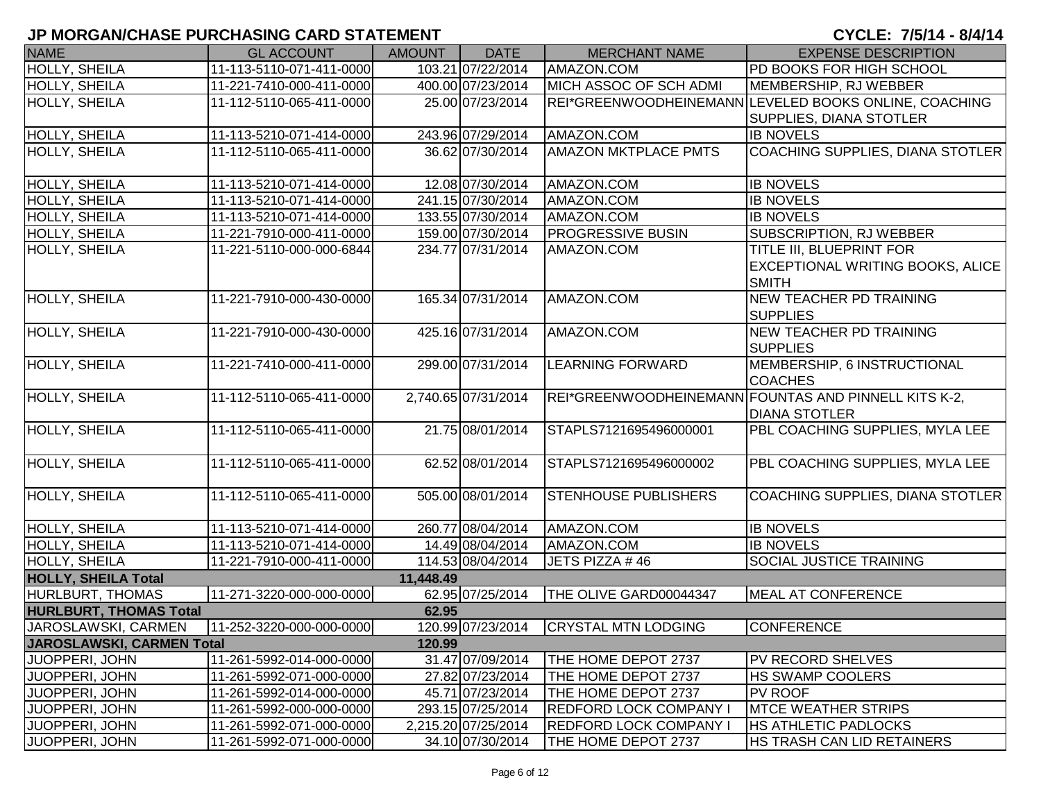| <b>NAME</b>                   | <b>GL ACCOUNT</b>        | <b>AMOUNT</b> | <b>DATE</b>         | <b>MERCHANT NAME</b>          | <b>EXPENSE DESCRIPTION</b>                            |
|-------------------------------|--------------------------|---------------|---------------------|-------------------------------|-------------------------------------------------------|
| <b>HOLLY, SHEILA</b>          | 11-113-5110-071-411-0000 |               | 103.21 07/22/2014   | AMAZON.COM                    | PD BOOKS FOR HIGH SCHOOL                              |
| HOLLY, SHEILA                 | 11-221-7410-000-411-0000 |               | 400.00 07/23/2014   | MICH ASSOC OF SCH ADMI        | MEMBERSHIP, RJ WEBBER                                 |
| <b>HOLLY, SHEILA</b>          | 11-112-5110-065-411-0000 |               | 25.00 07/23/2014    |                               | REI*GREENWOODHEINEMANN LEVELED BOOKS ONLINE, COACHING |
|                               |                          |               |                     |                               | SUPPLIES, DIANA STOTLER                               |
| <b>HOLLY, SHEILA</b>          | 11-113-5210-071-414-0000 |               | 243.96 07/29/2014   | AMAZON.COM                    | <b>IB NOVELS</b>                                      |
| HOLLY, SHEILA                 | 11-112-5110-065-411-0000 |               | 36.62 07/30/2014    | <b>AMAZON MKTPLACE PMTS</b>   | COACHING SUPPLIES, DIANA STOTLER                      |
| <b>HOLLY, SHEILA</b>          | 11-113-5210-071-414-0000 |               | 12.08 07/30/2014    | AMAZON.COM                    | <b>IB NOVELS</b>                                      |
| <b>HOLLY, SHEILA</b>          | 11-113-5210-071-414-0000 |               | 241.15 07/30/2014   | AMAZON.COM                    | <b>IB NOVELS</b>                                      |
| HOLLY, SHEILA                 | 11-113-5210-071-414-0000 |               | 133.55 07/30/2014   | AMAZON.COM                    | <b>IB NOVELS</b>                                      |
| HOLLY, SHEILA                 | 11-221-7910-000-411-0000 |               | 159.00 07/30/2014   | <b>PROGRESSIVE BUSIN</b>      | SUBSCRIPTION, RJ WEBBER                               |
| HOLLY, SHEILA                 | 11-221-5110-000-000-6844 |               | 234.77 07/31/2014   | AMAZON.COM                    | TITLE III, BLUEPRINT FOR                              |
|                               |                          |               |                     |                               | EXCEPTIONAL WRITING BOOKS, ALICE                      |
|                               |                          |               |                     |                               | <b>SMITH</b>                                          |
| <b>HOLLY, SHEILA</b>          | 11-221-7910-000-430-0000 |               | 165.34 07/31/2014   | AMAZON.COM                    | NEW TEACHER PD TRAINING                               |
|                               |                          |               |                     |                               | <b>SUPPLIES</b>                                       |
| HOLLY, SHEILA                 | 11-221-7910-000-430-0000 |               | 425.16 07/31/2014   | AMAZON.COM                    | NEW TEACHER PD TRAINING                               |
|                               |                          |               |                     |                               | <b>SUPPLIES</b>                                       |
| <b>HOLLY, SHEILA</b>          | 11-221-7410-000-411-0000 |               | 299.00 07/31/2014   | <b>LEARNING FORWARD</b>       | MEMBERSHIP, 6 INSTRUCTIONAL                           |
|                               |                          |               |                     |                               | <b>COACHES</b>                                        |
| HOLLY, SHEILA                 | 11-112-5110-065-411-0000 |               | 2,740.65 07/31/2014 |                               | REI*GREENWOODHEINEMANN FOUNTAS AND PINNELL KITS K-2,  |
|                               |                          |               |                     |                               | <b>DIANA STOTLER</b>                                  |
| HOLLY, SHEILA                 | 11-112-5110-065-411-0000 |               | 21.75 08/01/2014    | STAPLS7121695496000001        | PBL COACHING SUPPLIES, MYLA LEE                       |
|                               |                          |               |                     |                               |                                                       |
| HOLLY, SHEILA                 | 11-112-5110-065-411-0000 |               | 62.52 08/01/2014    | STAPLS7121695496000002        | PBL COACHING SUPPLIES, MYLA LEE                       |
| HOLLY, SHEILA                 | 11-112-5110-065-411-0000 |               | 505.00 08/01/2014   | <b>STENHOUSE PUBLISHERS</b>   | COACHING SUPPLIES, DIANA STOTLER                      |
|                               |                          |               |                     |                               |                                                       |
| <b>HOLLY, SHEILA</b>          | 11-113-5210-071-414-0000 |               | 260.77 08/04/2014   | AMAZON.COM                    | <b>IB NOVELS</b>                                      |
| HOLLY, SHEILA                 | 11-113-5210-071-414-0000 |               | 14.49 08/04/2014    | AMAZON.COM                    | <b>IB NOVELS</b>                                      |
| HOLLY, SHEILA                 | 11-221-7910-000-411-0000 |               | 114.53 08/04/2014   | JETS PIZZA #46                | <b>SOCIAL JUSTICE TRAINING</b>                        |
| <b>HOLLY, SHEILA Total</b>    |                          | 11,448.49     |                     |                               |                                                       |
| <b>HURLBURT, THOMAS</b>       | 11-271-3220-000-000-0000 |               | 62.95 07/25/2014    | THE OLIVE GARD00044347        | MEAL AT CONFERENCE                                    |
| <b>HURLBURT, THOMAS Total</b> |                          | 62.95         |                     |                               |                                                       |
| JAROSLAWSKI, CARMEN           | 11-252-3220-000-000-0000 |               | 120.99 07/23/2014   | <b>CRYSTAL MTN LODGING</b>    | <b>CONFERENCE</b>                                     |
| JAROSLAWSKI, CARMEN Total     |                          | 120.99        |                     |                               |                                                       |
| <b>JUOPPERI, JOHN</b>         | 11-261-5992-014-000-0000 |               | 31.47 07/09/2014    | THE HOME DEPOT 2737           | PV RECORD SHELVES                                     |
| JUOPPERI, JOHN                | 11-261-5992-071-000-0000 |               | 27.82 07/23/2014    | THE HOME DEPOT 2737           | <b>HS SWAMP COOLERS</b>                               |
| JUOPPERI, JOHN                | 11-261-5992-014-000-0000 |               | 45.71 07/23/2014    | THE HOME DEPOT 2737           | <b>PV ROOF</b>                                        |
| JUOPPERI, JOHN                | 11-261-5992-000-000-0000 |               | 293.15 07/25/2014   | <b>REDFORD LOCK COMPANY I</b> | <b>MTCE WEATHER STRIPS</b>                            |
| JUOPPERI, JOHN                | 11-261-5992-071-000-0000 |               | 2,215.20 07/25/2014 | <b>REDFORD LOCK COMPANY I</b> | <b>HS ATHLETIC PADLOCKS</b>                           |
| JUOPPERI, JOHN                | 11-261-5992-071-000-0000 |               | 34.10 07/30/2014    | THE HOME DEPOT 2737           | <b>HS TRASH CAN LID RETAINERS</b>                     |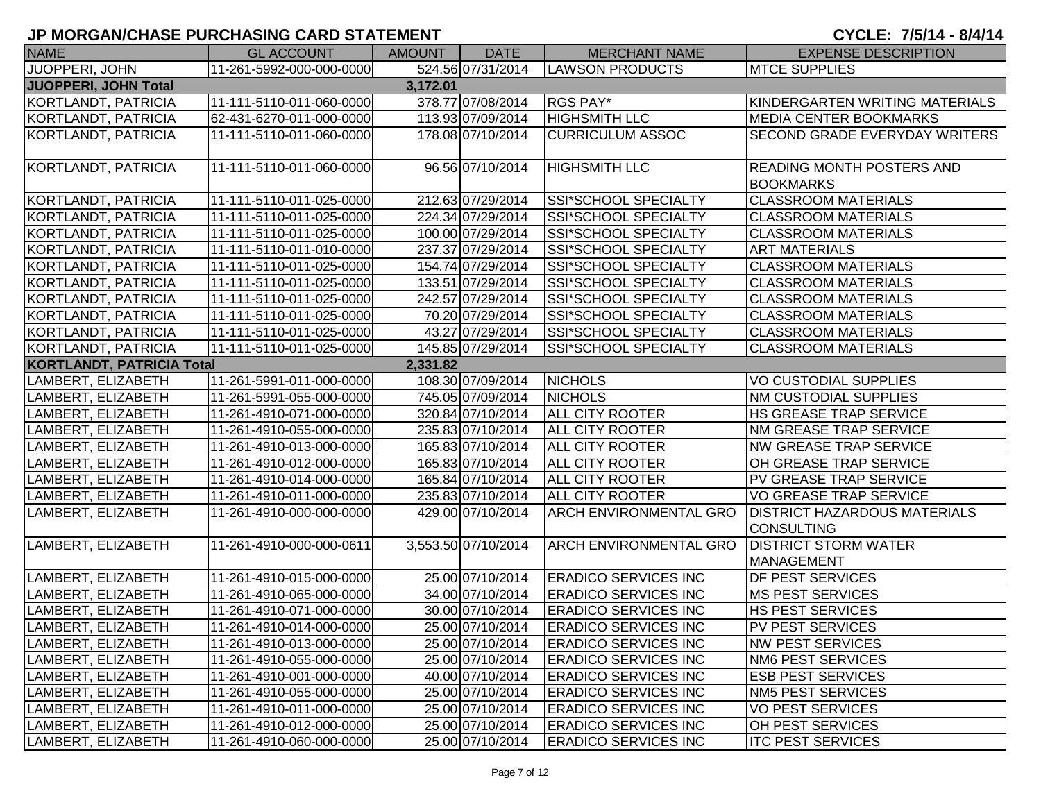| <b>NAME</b>                      | <b>GL ACCOUNT</b>        | AMOUNT   | <b>DATE</b>         | <b>MERCHANT NAME</b>          | <b>EXPENSE DESCRIPTION</b>                           |
|----------------------------------|--------------------------|----------|---------------------|-------------------------------|------------------------------------------------------|
| JUOPPERI, JOHN                   | 11-261-5992-000-000-0000 |          | 524.56 07/31/2014   | <b>LAWSON PRODUCTS</b>        | <b>MTCE SUPPLIES</b>                                 |
| JUOPPERI, JOHN Total             |                          | 3,172.01 |                     |                               |                                                      |
| KORTLANDT, PATRICIA              | 11-111-5110-011-060-0000 |          | 378.77 07/08/2014   | RGS PAY*                      | KINDERGARTEN WRITING MATERIALS                       |
| KORTLANDT, PATRICIA              | 62-431-6270-011-000-0000 |          | 113.93 07/09/2014   | <b>HIGHSMITH LLC</b>          | <b>MEDIA CENTER BOOKMARKS</b>                        |
| KORTLANDT, PATRICIA              | 11-111-5110-011-060-0000 |          | 178.08 07/10/2014   | <b>CURRICULUM ASSOC</b>       | <b>SECOND GRADE EVERYDAY WRITERS</b>                 |
|                                  |                          |          |                     |                               |                                                      |
| KORTLANDT, PATRICIA              | 11-111-5110-011-060-0000 |          | 96.56 07/10/2014    | <b>HIGHSMITH LLC</b>          | <b>READING MONTH POSTERS AND</b><br><b>BOOKMARKS</b> |
| KORTLANDT, PATRICIA              | 11-111-5110-011-025-0000 |          | 212.63 07/29/2014   | SSI*SCHOOL SPECIALTY          | <b>CLASSROOM MATERIALS</b>                           |
| KORTLANDT, PATRICIA              | 11-111-5110-011-025-0000 |          | 224.34 07/29/2014   | <b>SSI*SCHOOL SPECIALTY</b>   | <b>CLASSROOM MATERIALS</b>                           |
| KORTLANDT, PATRICIA              | 11-111-5110-011-025-0000 |          | 100.00 07/29/2014   | SSI*SCHOOL SPECIALTY          | <b>CLASSROOM MATERIALS</b>                           |
| KORTLANDT, PATRICIA              | 11-111-5110-011-010-0000 |          | 237.37 07/29/2014   | SSI*SCHOOL SPECIALTY          | <b>ART MATERIALS</b>                                 |
| KORTLANDT, PATRICIA              | 11-111-5110-011-025-0000 |          | 154.74 07/29/2014   | SSI*SCHOOL SPECIALTY          | <b>CLASSROOM MATERIALS</b>                           |
| KORTLANDT, PATRICIA              | 11-111-5110-011-025-0000 |          | 133.51 07/29/2014   | SSI*SCHOOL SPECIALTY          | <b>CLASSROOM MATERIALS</b>                           |
| KORTLANDT, PATRICIA              | 11-111-5110-011-025-0000 |          | 242.57 07/29/2014   | SSI*SCHOOL SPECIALTY          | <b>CLASSROOM MATERIALS</b>                           |
| KORTLANDT, PATRICIA              | 11-111-5110-011-025-0000 |          | 70.20 07/29/2014    | SSI*SCHOOL SPECIALTY          | <b>CLASSROOM MATERIALS</b>                           |
| KORTLANDT, PATRICIA              | 11-111-5110-011-025-0000 |          | 43.27 07/29/2014    | <b>SSI*SCHOOL SPECIALTY</b>   | <b>CLASSROOM MATERIALS</b>                           |
| KORTLANDT, PATRICIA              | 11-111-5110-011-025-0000 |          | 145.85 07/29/2014   | SSI*SCHOOL SPECIALTY          | <b>CLASSROOM MATERIALS</b>                           |
| <b>KORTLANDT, PATRICIA Total</b> |                          | 2,331.82 |                     |                               |                                                      |
| LAMBERT, ELIZABETH               | 11-261-5991-011-000-0000 |          | 108.30 07/09/2014   | <b>NICHOLS</b>                | VO CUSTODIAL SUPPLIES                                |
| LAMBERT, ELIZABETH               | 11-261-5991-055-000-0000 |          | 745.05 07/09/2014   | <b>NICHOLS</b>                | <b>NM CUSTODIAL SUPPLIES</b>                         |
| LAMBERT, ELIZABETH               | 11-261-4910-071-000-0000 |          | 320.84 07/10/2014   | <b>ALL CITY ROOTER</b>        | HS GREASE TRAP SERVICE                               |
| LAMBERT, ELIZABETH               | 11-261-4910-055-000-0000 |          | 235.83 07/10/2014   | <b>ALL CITY ROOTER</b>        | <b>NM GREASE TRAP SERVICE</b>                        |
| LAMBERT, ELIZABETH               | 11-261-4910-013-000-0000 |          | 165.83 07/10/2014   | <b>ALL CITY ROOTER</b>        | <b>NW GREASE TRAP SERVICE</b>                        |
| LAMBERT, ELIZABETH               | 11-261-4910-012-000-0000 |          | 165.83 07/10/2014   | <b>ALL CITY ROOTER</b>        | OH GREASE TRAP SERVICE                               |
| LAMBERT, ELIZABETH               | 11-261-4910-014-000-0000 |          | 165.84 07/10/2014   | <b>ALL CITY ROOTER</b>        | PV GREASE TRAP SERVICE                               |
| LAMBERT, ELIZABETH               | 11-261-4910-011-000-0000 |          | 235.83 07/10/2014   | ALL CITY ROOTER               | <b>VO GREASE TRAP SERVICE</b>                        |
| LAMBERT, ELIZABETH               | 11-261-4910-000-000-0000 |          | 429.00 07/10/2014   | <b>ARCH ENVIRONMENTAL GRO</b> | <b>DISTRICT HAZARDOUS MATERIALS</b>                  |
|                                  |                          |          |                     |                               | <b>CONSULTING</b>                                    |
| LAMBERT, ELIZABETH               | 11-261-4910-000-000-0611 |          | 3,553.50 07/10/2014 | <b>ARCH ENVIRONMENTAL GRO</b> | <b>DISTRICT STORM WATER</b>                          |
|                                  |                          |          |                     |                               | <b>MANAGEMENT</b>                                    |
| LAMBERT, ELIZABETH               | 11-261-4910-015-000-0000 |          | 25.00 07/10/2014    | <b>ERADICO SERVICES INC</b>   | <b>DF PEST SERVICES</b>                              |
| LAMBERT, ELIZABETH               | 11-261-4910-065-000-0000 |          | 34.00 07/10/2014    | <b>ERADICO SERVICES INC</b>   | <b>MS PEST SERVICES</b>                              |
| LAMBERT, ELIZABETH               | 11-261-4910-071-000-0000 |          | 30.00 07/10/2014    | <b>ERADICO SERVICES INC</b>   | <b>HS PEST SERVICES</b>                              |
| LAMBERT, ELIZABETH               | 11-261-4910-014-000-0000 |          | 25.00 07/10/2014    | <b>ERADICO SERVICES INC</b>   | PV PEST SERVICES                                     |
| LAMBERT, ELIZABETH               | 11-261-4910-013-000-0000 |          | 25.00 07/10/2014    | <b>ERADICO SERVICES INC</b>   | <b>NW PEST SERVICES</b>                              |
| LAMBERT, ELIZABETH               | 11-261-4910-055-000-0000 |          | 25.00 07/10/2014    | <b>ERADICO SERVICES INC</b>   | <b>NM6 PEST SERVICES</b>                             |
| LAMBERT, ELIZABETH               | 11-261-4910-001-000-0000 |          | 40.00 07/10/2014    | <b>ERADICO SERVICES INC</b>   | <b>ESB PEST SERVICES</b>                             |
| LAMBERT, ELIZABETH               | 11-261-4910-055-000-0000 |          | 25.00 07/10/2014    | <b>ERADICO SERVICES INC</b>   | <b>NM5 PEST SERVICES</b>                             |
| LAMBERT, ELIZABETH               | 11-261-4910-011-000-0000 |          | 25.00 07/10/2014    | <b>ERADICO SERVICES INC</b>   | <b>VO PEST SERVICES</b>                              |
| LAMBERT, ELIZABETH               | 11-261-4910-012-000-0000 |          | 25.00 07/10/2014    | <b>ERADICO SERVICES INC</b>   | <b>OH PEST SERVICES</b>                              |
| LAMBERT, ELIZABETH               | 11-261-4910-060-000-0000 |          | 25.00 07/10/2014    | <b>ERADICO SERVICES INC</b>   | <b>ITC PEST SERVICES</b>                             |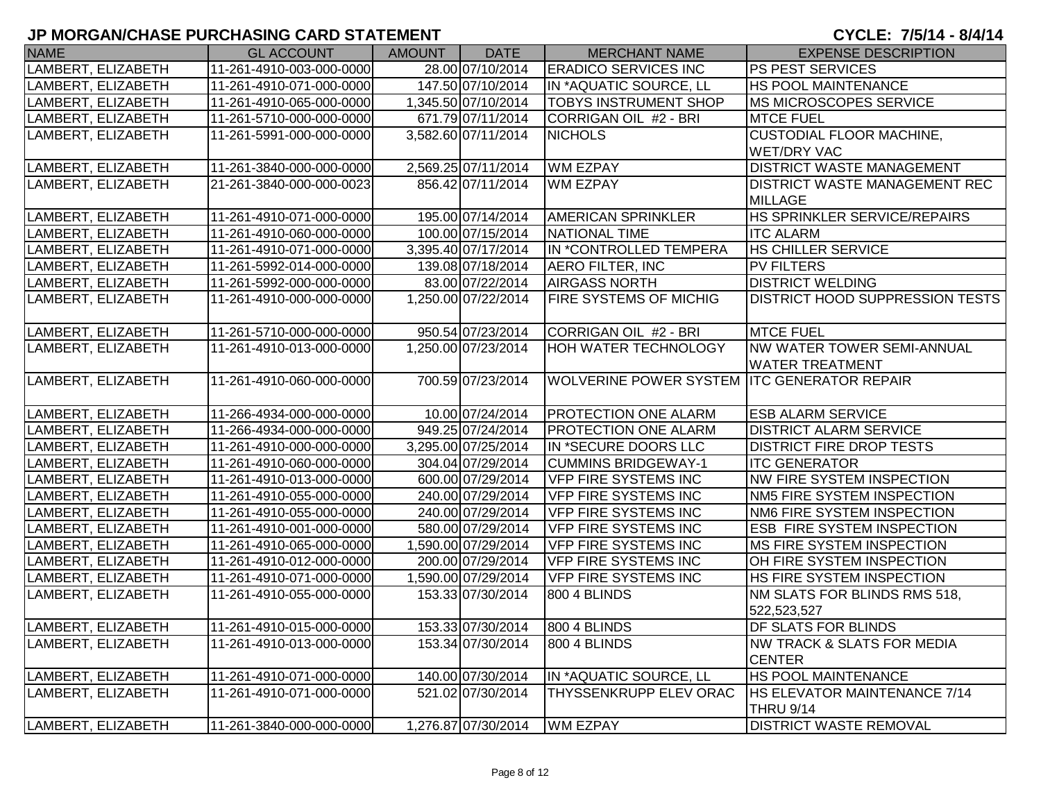| <b>NAME</b>        | <b>GL ACCOUNT</b>        | AMOUNT | <b>DATE</b>         | <b>MERCHANT NAME</b>                        | <b>EXPENSE DESCRIPTION</b>            |
|--------------------|--------------------------|--------|---------------------|---------------------------------------------|---------------------------------------|
| LAMBERT, ELIZABETH | 11-261-4910-003-000-0000 |        | 28.00 07/10/2014    | <b>ERADICO SERVICES INC</b>                 | <b>PS PEST SERVICES</b>               |
| LAMBERT, ELIZABETH | 11-261-4910-071-000-0000 |        | 147.50 07/10/2014   | IN *AQUATIC SOURCE, LL                      | <b>HS POOL MAINTENANCE</b>            |
| LAMBERT, ELIZABETH | 11-261-4910-065-000-0000 |        | 1,345.50 07/10/2014 | <b>TOBYS INSTRUMENT SHOP</b>                | <b>MS MICROSCOPES SERVICE</b>         |
| LAMBERT, ELIZABETH | 11-261-5710-000-000-0000 |        | 671.79 07/11/2014   | CORRIGAN OIL #2 - BRI                       | <b>MTCE FUEL</b>                      |
| LAMBERT, ELIZABETH | 11-261-5991-000-000-0000 |        | 3,582.60 07/11/2014 | <b>NICHOLS</b>                              | <b>CUSTODIAL FLOOR MACHINE,</b>       |
|                    |                          |        |                     |                                             | <b>WET/DRY VAC</b>                    |
| LAMBERT, ELIZABETH | 11-261-3840-000-000-0000 |        | 2,569.25 07/11/2014 | <b>WM EZPAY</b>                             | <b>DISTRICT WASTE MANAGEMENT</b>      |
| LAMBERT, ELIZABETH | 21-261-3840-000-000-0023 |        | 856.42 07/11/2014   | <b>WM EZPAY</b>                             | <b>DISTRICT WASTE MANAGEMENT REC</b>  |
|                    |                          |        |                     |                                             | <b>MILLAGE</b>                        |
| LAMBERT, ELIZABETH | 11-261-4910-071-000-0000 |        | 195.00 07/14/2014   | <b>AMERICAN SPRINKLER</b>                   | <b>HS SPRINKLER SERVICE/REPAIRS</b>   |
| LAMBERT, ELIZABETH | 11-261-4910-060-000-0000 |        | 100.00 07/15/2014   | NATIONAL TIME                               | <b>ITC ALARM</b>                      |
| LAMBERT, ELIZABETH | 11-261-4910-071-000-0000 |        | 3,395.40 07/17/2014 | IN *CONTROLLED TEMPERA                      | <b>HS CHILLER SERVICE</b>             |
| LAMBERT, ELIZABETH | 11-261-5992-014-000-0000 |        | 139.08 07/18/2014   | <b>AERO FILTER, INC</b>                     | <b>PV FILTERS</b>                     |
| LAMBERT, ELIZABETH | 11-261-5992-000-000-0000 |        | 83.00 07/22/2014    | <b>AIRGASS NORTH</b>                        | <b>DISTRICT WELDING</b>               |
| LAMBERT, ELIZABETH | 11-261-4910-000-000-0000 |        | 1,250.00 07/22/2014 | <b>FIRE SYSTEMS OF MICHIG</b>               | DISTRICT HOOD SUPPRESSION TESTS       |
| LAMBERT, ELIZABETH | 11-261-5710-000-000-0000 |        | 950.54 07/23/2014   | CORRIGAN OIL #2 - BRI                       | <b>MTCE FUEL</b>                      |
| LAMBERT, ELIZABETH | 11-261-4910-013-000-0000 |        | 1,250.00 07/23/2014 | <b>HOH WATER TECHNOLOGY</b>                 | <b>NW WATER TOWER SEMI-ANNUAL</b>     |
|                    |                          |        |                     |                                             | <b>WATER TREATMENT</b>                |
| LAMBERT, ELIZABETH | 11-261-4910-060-000-0000 |        | 700.59 07/23/2014   | WOLVERINE POWER SYSTEM ITC GENERATOR REPAIR |                                       |
|                    |                          |        |                     |                                             |                                       |
| LAMBERT, ELIZABETH | 11-266-4934-000-000-0000 |        | 10.00 07/24/2014    | <b>PROTECTION ONE ALARM</b>                 | <b>ESB ALARM SERVICE</b>              |
| LAMBERT, ELIZABETH | 11-266-4934-000-000-0000 |        | 949.25 07/24/2014   | <b>PROTECTION ONE ALARM</b>                 | <b>DISTRICT ALARM SERVICE</b>         |
| LAMBERT, ELIZABETH | 11-261-4910-000-000-0000 |        | 3,295.00 07/25/2014 | IN *SECURE DOORS LLC                        | <b>DISTRICT FIRE DROP TESTS</b>       |
| LAMBERT, ELIZABETH | 11-261-4910-060-000-0000 |        | 304.04 07/29/2014   | <b>CUMMINS BRIDGEWAY-1</b>                  | <b>ITC GENERATOR</b>                  |
| LAMBERT, ELIZABETH | 11-261-4910-013-000-0000 |        | 600.00 07/29/2014   | <b>VFP FIRE SYSTEMS INC</b>                 | NW FIRE SYSTEM INSPECTION             |
| LAMBERT, ELIZABETH | 11-261-4910-055-000-0000 |        | 240.00 07/29/2014   | <b>VFP FIRE SYSTEMS INC</b>                 | NM5 FIRE SYSTEM INSPECTION            |
| LAMBERT, ELIZABETH | 11-261-4910-055-000-0000 |        | 240.00 07/29/2014   | <b>VFP FIRE SYSTEMS INC</b>                 | NM6 FIRE SYSTEM INSPECTION            |
| LAMBERT, ELIZABETH | 11-261-4910-001-000-0000 |        | 580.00 07/29/2014   | <b>VFP FIRE SYSTEMS INC</b>                 | <b>ESB FIRE SYSTEM INSPECTION</b>     |
| LAMBERT, ELIZABETH | 11-261-4910-065-000-0000 |        | 1,590.00 07/29/2014 | <b>VFP FIRE SYSTEMS INC</b>                 | MS FIRE SYSTEM INSPECTION             |
| LAMBERT, ELIZABETH | 11-261-4910-012-000-0000 |        | 200.00 07/29/2014   | <b>VFP FIRE SYSTEMS INC</b>                 | OH FIRE SYSTEM INSPECTION             |
| LAMBERT, ELIZABETH | 11-261-4910-071-000-0000 |        | 1,590.00 07/29/2014 | <b>VFP FIRE SYSTEMS INC</b>                 | HS FIRE SYSTEM INSPECTION             |
| LAMBERT, ELIZABETH | 11-261-4910-055-000-0000 |        | 153.33 07/30/2014   | 800 4 BLINDS                                | NM SLATS FOR BLINDS RMS 518,          |
|                    |                          |        |                     |                                             | 522,523,527                           |
| LAMBERT, ELIZABETH | 11-261-4910-015-000-0000 |        | 153.33 07/30/2014   | 800 4 BLINDS                                | <b>IDF SLATS FOR BLINDS</b>           |
| LAMBERT, ELIZABETH | 11-261-4910-013-000-0000 |        | 153.34 07/30/2014   | <b>800 4 BLINDS</b>                         | <b>NW TRACK &amp; SLATS FOR MEDIA</b> |
|                    |                          |        |                     |                                             | <b>CENTER</b>                         |
| LAMBERT, ELIZABETH | 11-261-4910-071-000-0000 |        | 140.00 07/30/2014   | IN *AQUATIC SOURCE, LL                      | <b>HS POOL MAINTENANCE</b>            |
| LAMBERT, ELIZABETH | 11-261-4910-071-000-0000 |        | 521.02 07/30/2014   | <b>THYSSENKRUPP ELEV ORAC</b>               | <b>HS ELEVATOR MAINTENANCE 7/14</b>   |
|                    |                          |        |                     |                                             | <b>THRU 9/14</b>                      |
| LAMBERT, ELIZABETH | 11-261-3840-000-000-0000 |        | 1,276.87 07/30/2014 | <b>WM EZPAY</b>                             | <b>DISTRICT WASTE REMOVAL</b>         |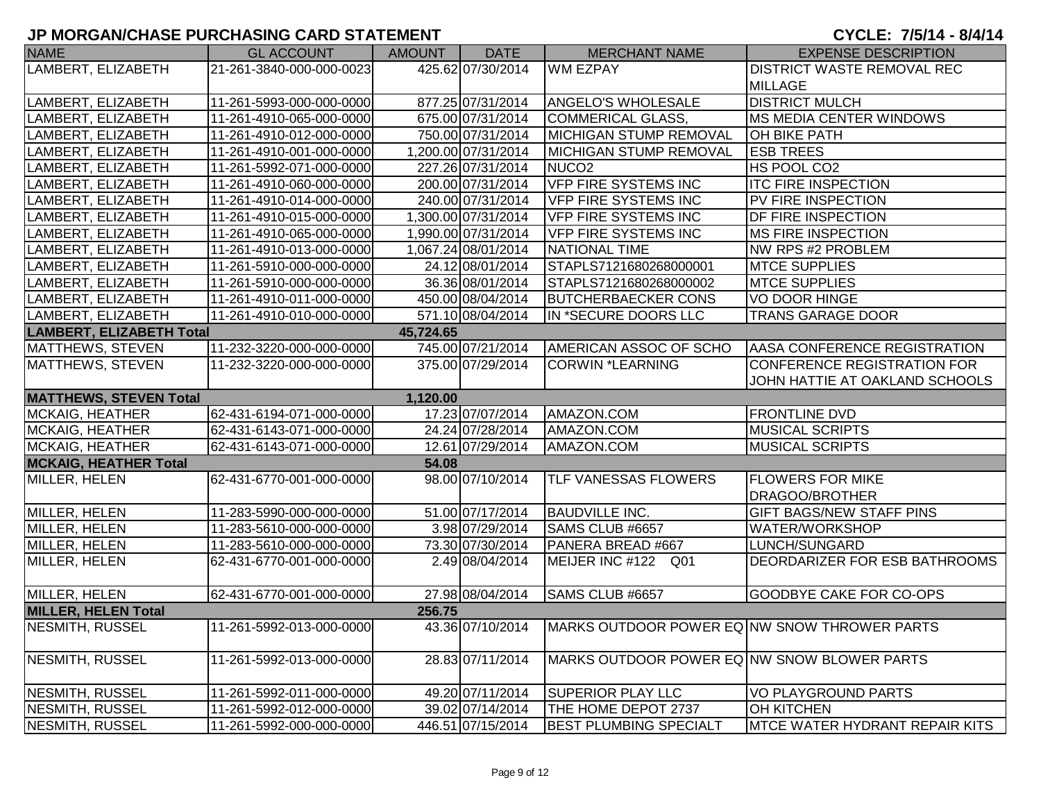| <b>NAME</b>                     | <b>GL ACCOUNT</b>        | <b>AMOUNT</b> | <b>DATE</b>         | <b>MERCHANT NAME</b>                                            | <b>EXPENSE DESCRIPTION</b>      |
|---------------------------------|--------------------------|---------------|---------------------|-----------------------------------------------------------------|---------------------------------|
| LAMBERT, ELIZABETH              | 21-261-3840-000-000-0023 |               | 425.62 07/30/2014   | <b>WM EZPAY</b>                                                 | DISTRICT WASTE REMOVAL REC      |
|                                 |                          |               |                     |                                                                 | <b>MILLAGE</b>                  |
| LAMBERT, ELIZABETH              | 11-261-5993-000-000-0000 |               | 877.25 07/31/2014   | <b>ANGELO'S WHOLESALE</b>                                       | <b>DISTRICT MULCH</b>           |
| LAMBERT, ELIZABETH              | 11-261-4910-065-000-0000 |               | 675.00 07/31/2014   | COMMERICAL GLASS,                                               | <b>MS MEDIA CENTER WINDOWS</b>  |
| LAMBERT, ELIZABETH              | 11-261-4910-012-000-0000 |               | 750.00 07/31/2014   | MICHIGAN STUMP REMOVAL                                          | <b>OH BIKE PATH</b>             |
| LAMBERT, ELIZABETH              | 11-261-4910-001-000-0000 |               | 1,200.00 07/31/2014 | <b>MICHIGAN STUMP REMOVAL</b>                                   | <b>ESB TREES</b>                |
| LAMBERT, ELIZABETH              | 11-261-5992-071-000-0000 |               | 227.26 07/31/2014   | NUCO <sub>2</sub>                                               | HS POOL CO2                     |
| LAMBERT, ELIZABETH              | 11-261-4910-060-000-0000 |               | 200.00 07/31/2014   | <b>VFP FIRE SYSTEMS INC</b>                                     | <b>ITC FIRE INSPECTION</b>      |
| LAMBERT, ELIZABETH              | 11-261-4910-014-000-0000 |               | 240.00 07/31/2014   | <b>VFP FIRE SYSTEMS INC</b>                                     | PV FIRE INSPECTION              |
| <b>_AMBERT, ELIZABETH</b>       | 11-261-4910-015-000-0000 |               | 1,300.00 07/31/2014 | <b>VFP FIRE SYSTEMS INC</b>                                     | <b>DF FIRE INSPECTION</b>       |
| _AMBERT, ELIZABETH              | 11-261-4910-065-000-0000 |               | 1,990.00 07/31/2014 | VFP FIRE SYSTEMS INC                                            | MS FIRE INSPECTION              |
| LAMBERT, ELIZABETH              | 11-261-4910-013-000-0000 |               | 1,067.24 08/01/2014 | NATIONAL TIME                                                   | NW RPS #2 PROBLEM               |
| LAMBERT, ELIZABETH              | 11-261-5910-000-000-0000 |               | 24.12 08/01/2014    | STAPLS7121680268000001                                          | <b>MTCE SUPPLIES</b>            |
| LAMBERT, ELIZABETH              | 11-261-5910-000-000-0000 |               | 36.36 08/01/2014    | STAPLS7121680268000002                                          | <b>MTCE SUPPLIES</b>            |
| LAMBERT, ELIZABETH              | 11-261-4910-011-000-0000 |               | 450.00 08/04/2014   | <b>BUTCHERBAECKER CONS</b>                                      | <b>VO DOOR HINGE</b>            |
| LAMBERT, ELIZABETH              | 11-261-4910-010-000-0000 |               | 571.10 08/04/2014   | IN *SECURE DOORS LLC                                            | <b>TRANS GARAGE DOOR</b>        |
| <b>LAMBERT, ELIZABETH Total</b> |                          | 45,724.65     |                     |                                                                 |                                 |
| MATTHEWS, STEVEN                | 11-232-3220-000-000-0000 |               | 745.00 07/21/2014   | AMERICAN ASSOC OF SCHO                                          | AASA CONFERENCE REGISTRATION    |
| MATTHEWS, STEVEN                | 11-232-3220-000-000-0000 |               | 375.00 07/29/2014   | CORWIN *LEARNING                                                | CONFERENCE REGISTRATION FOR     |
|                                 |                          |               |                     |                                                                 | JOHN HATTIE AT OAKLAND SCHOOLS  |
| <b>MATTHEWS, STEVEN Total</b>   |                          | 1,120.00      |                     |                                                                 |                                 |
| <b>MCKAIG, HEATHER</b>          | 62-431-6194-071-000-0000 |               | 17.23 07/07/2014    | AMAZON.COM                                                      | <b>FRONTLINE DVD</b>            |
| <b>MCKAIG, HEATHER</b>          | 62-431-6143-071-000-0000 |               | 24.24 07/28/2014    | AMAZON.COM                                                      | <b>MUSICAL SCRIPTS</b>          |
| <b>MCKAIG, HEATHER</b>          | 62-431-6143-071-000-0000 |               | 12.61 07/29/2014    | AMAZON.COM                                                      | <b>MUSICAL SCRIPTS</b>          |
| <b>MCKAIG, HEATHER Total</b>    |                          | 54.08         |                     |                                                                 |                                 |
| MILLER, HELEN                   | 62-431-6770-001-000-0000 |               | 98.00 07/10/2014    | <b>TLF VANESSAS FLOWERS</b>                                     | <b>FLOWERS FOR MIKE</b>         |
|                                 |                          |               |                     |                                                                 | DRAGOO/BROTHER                  |
| MILLER, HELEN                   | 11-283-5990-000-000-0000 |               | 51.00 07/17/2014    | <b>BAUDVILLE INC.</b>                                           | <b>GIFT BAGS/NEW STAFF PINS</b> |
| MILLER, HELEN                   | 11-283-5610-000-000-0000 |               | 3.98 07/29/2014     | SAMS CLUB #6657                                                 | WATER/WORKSHOP                  |
| MILLER, HELEN                   | 11-283-5610-000-000-0000 |               | 73.30 07/30/2014    | PANERA BREAD #667                                               | LUNCH/SUNGARD                   |
| MILLER, HELEN                   | 62-431-6770-001-000-0000 |               | 2.49 08/04/2014     | MEIJER INC #122 Q01                                             | DEORDARIZER FOR ESB BATHROOMS   |
|                                 |                          |               |                     |                                                                 |                                 |
| MILLER, HELEN                   | 62-431-6770-001-000-0000 |               | 27.98 08/04/2014    | SAMS CLUB #6657                                                 | <b>GOODBYE CAKE FOR CO-OPS</b>  |
| <b>MILLER, HELEN Total</b>      |                          | 256.75        |                     |                                                                 |                                 |
| NESMITH, RUSSEL                 | 11-261-5992-013-000-0000 |               |                     | 43.36 07/10/2014   MARKS OUTDOOR POWER EQ NW SNOW THROWER PARTS |                                 |
|                                 |                          |               |                     |                                                                 |                                 |
| NESMITH, RUSSEL                 | 11-261-5992-013-000-0000 |               | 28.83 07/11/2014    | MARKS OUTDOOR POWER EQ NW SNOW BLOWER PARTS                     |                                 |
| NESMITH, RUSSEL                 | 11-261-5992-011-000-0000 |               | 49.20 07/11/2014    | <b>SUPERIOR PLAY LLC</b>                                        | VO PLAYGROUND PARTS             |
| <b>NESMITH, RUSSEL</b>          | 11-261-5992-012-000-0000 |               | 39.02 07/14/2014    | THE HOME DEPOT 2737                                             | <b>OH KITCHEN</b>               |
| NESMITH, RUSSEL                 | 11-261-5992-000-000-0000 |               | 446.51 07/15/2014   | <b>BEST PLUMBING SPECIALT</b>                                   | MTCE WATER HYDRANT REPAIR KITS  |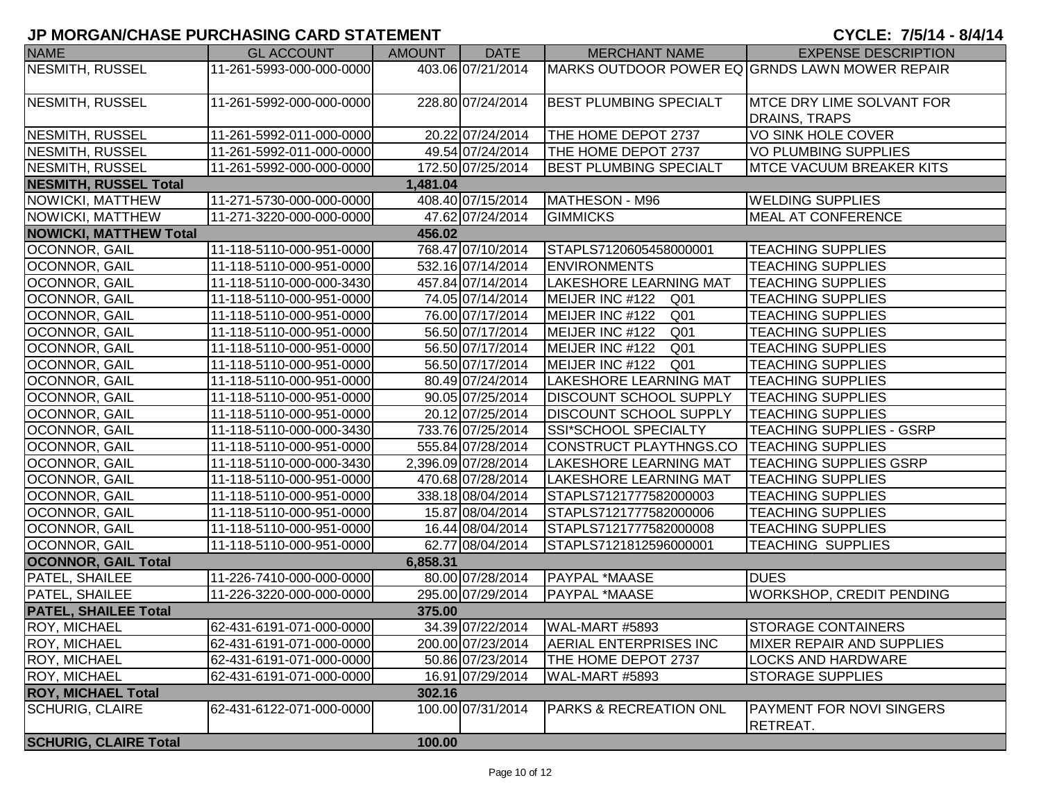| <b>NAME</b>                   | <b>GL ACCOUNT</b>        | AMOUNT   | <b>DATE</b>         | MERCHANT NAME                     | <b>EXPENSE DESCRIPTION</b>                     |
|-------------------------------|--------------------------|----------|---------------------|-----------------------------------|------------------------------------------------|
| NESMITH, RUSSEL               | 11-261-5993-000-000-0000 |          | 403.06 07/21/2014   |                                   | MARKS OUTDOOR POWER EQ GRNDS LAWN MOWER REPAIR |
|                               |                          |          |                     |                                   |                                                |
| NESMITH, RUSSEL               | 11-261-5992-000-000-0000 |          | 228.80 07/24/2014   | <b>BEST PLUMBING SPECIALT</b>     | <b>MTCE DRY LIME SOLVANT FOR</b>               |
|                               |                          |          |                     |                                   | DRAINS, TRAPS                                  |
| NESMITH, RUSSEL               | 11-261-5992-011-000-0000 |          | 20.22 07/24/2014    | THE HOME DEPOT 2737               | VO SINK HOLE COVER                             |
| <b>NESMITH, RUSSEL</b>        | 11-261-5992-011-000-0000 |          | 49.54 07/24/2014    | THE HOME DEPOT 2737               | <b>VO PLUMBING SUPPLIES</b>                    |
| <b>NESMITH, RUSSEL</b>        | 11-261-5992-000-000-0000 |          | 172.50 07/25/2014   | <b>BEST PLUMBING SPECIALT</b>     | <b>IMTCE VACUUM BREAKER KITS</b>               |
| <b>NESMITH, RUSSEL Total</b>  |                          | 1,481.04 |                     |                                   |                                                |
| NOWICKI, MATTHEW              | 11-271-5730-000-000-0000 |          | 408.40 07/15/2014   | MATHESON - M96                    | <b>WELDING SUPPLIES</b>                        |
| NOWICKI, MATTHEW              | 11-271-3220-000-000-0000 |          | 47.62 07/24/2014    | <b>GIMMICKS</b>                   | <b>MEAL AT CONFERENCE</b>                      |
| <b>NOWICKI, MATTHEW Total</b> |                          | 456.02   |                     |                                   |                                                |
| OCONNOR, GAIL                 | 11-118-5110-000-951-0000 |          | 768.47 07/10/2014   | STAPLS7120605458000001            | <b>TEACHING SUPPLIES</b>                       |
| OCONNOR, GAIL                 | 11-118-5110-000-951-0000 |          | 532.16 07/14/2014   | <b>ENVIRONMENTS</b>               | <b>TEACHING SUPPLIES</b>                       |
| OCONNOR, GAIL                 | 11-118-5110-000-000-3430 |          | 457.84 07/14/2014   | <b>LAKESHORE LEARNING MAT</b>     | <b>TEACHING SUPPLIES</b>                       |
| OCONNOR, GAIL                 | 11-118-5110-000-951-0000 |          | 74.05 07/14/2014    | MEIJER INC #122 Q01               | <b>TEACHING SUPPLIES</b>                       |
| OCONNOR, GAIL                 | 11-118-5110-000-951-0000 |          | 76.00 07/17/2014    | MEIJER INC #122 Q01               | <b>TEACHING SUPPLIES</b>                       |
| OCONNOR, GAIL                 | 11-118-5110-000-951-0000 |          | 56.50 07/17/2014    | MEIJER INC #122 Q01               | <b>TEACHING SUPPLIES</b>                       |
| OCONNOR, GAIL                 | 11-118-5110-000-951-0000 |          | 56.50 07/17/2014    | MEIJER INC #122<br>Q01            | <b>TEACHING SUPPLIES</b>                       |
| OCONNOR, GAIL                 | 11-118-5110-000-951-0000 |          | 56.50 07/17/2014    | MEIJER INC #122 Q01               | <b>TEACHING SUPPLIES</b>                       |
| OCONNOR, GAIL                 | 11-118-5110-000-951-0000 |          | 80.49 07/24/2014    | LAKESHORE LEARNING MAT            | <b>TEACHING SUPPLIES</b>                       |
| OCONNOR, GAIL                 | 11-118-5110-000-951-0000 |          | 90.05 07/25/2014    | <b>DISCOUNT SCHOOL SUPPLY</b>     | <b>TEACHING SUPPLIES</b>                       |
| OCONNOR, GAIL                 | 11-118-5110-000-951-0000 |          | 20.12 07/25/2014    | <b>DISCOUNT SCHOOL SUPPLY</b>     | <b>TEACHING SUPPLIES</b>                       |
| OCONNOR, GAIL                 | 11-118-5110-000-000-3430 |          | 733.76 07/25/2014   | SSI*SCHOOL SPECIALTY              | <b>TEACHING SUPPLIES - GSRP</b>                |
| OCONNOR, GAIL                 | 11-118-5110-000-951-0000 |          | 555.84 07/28/2014   | CONSTRUCT PLAYTHNGS.CO            | <b>TEACHING SUPPLIES</b>                       |
| OCONNOR, GAIL                 | 11-118-5110-000-000-3430 |          | 2,396.09 07/28/2014 | <b>LAKESHORE LEARNING MAT</b>     | <b>TEACHING SUPPLIES GSRP</b>                  |
| OCONNOR, GAIL                 | 11-118-5110-000-951-0000 |          | 470.68 07/28/2014   | <b>LAKESHORE LEARNING MAT</b>     | <b>TEACHING SUPPLIES</b>                       |
| OCONNOR, GAIL                 | 11-118-5110-000-951-0000 |          | 338.18 08/04/2014   | STAPLS7121777582000003            | <b>TEACHING SUPPLIES</b>                       |
| OCONNOR, GAIL                 | 11-118-5110-000-951-0000 |          | 15.87 08/04/2014    | STAPLS7121777582000006            | <b>TEACHING SUPPLIES</b>                       |
| OCONNOR, GAIL                 | 11-118-5110-000-951-0000 |          | 16.44 08/04/2014    | STAPLS7121777582000008            | <b>TEACHING SUPPLIES</b>                       |
| OCONNOR, GAIL                 | 11-118-5110-000-951-0000 |          | 62.77 08/04/2014    | STAPLS7121812596000001            | <b>TEACHING SUPPLIES</b>                       |
| <b>OCONNOR, GAIL Total</b>    |                          | 6,858.31 |                     |                                   |                                                |
| PATEL, SHAILEE                | 11-226-7410-000-000-0000 |          | 80.00 07/28/2014    | <b>PAYPAL *MAASE</b>              | <b>DUES</b>                                    |
| PATEL, SHAILEE                | 11-226-3220-000-000-0000 |          | 295.00 07/29/2014   | <b>PAYPAL *MAASE</b>              | <b>WORKSHOP, CREDIT PENDING</b>                |
| <b>PATEL, SHAILEE Total</b>   |                          | 375.00   |                     |                                   |                                                |
| <b>ROY, MICHAEL</b>           | 62-431-6191-071-000-0000 |          | 34.39 07/22/2014    | WAL-MART #5893                    | <b>STORAGE CONTAINERS</b>                      |
| <b>ROY, MICHAEL</b>           | 62-431-6191-071-000-0000 |          | 200.00 07/23/2014   | <b>AERIAL ENTERPRISES INC</b>     | <b>MIXER REPAIR AND SUPPLIES</b>               |
| <b>ROY, MICHAEL</b>           | 62-431-6191-071-000-0000 |          | 50.86 07/23/2014    | THE HOME DEPOT 2737               | <b>LOCKS AND HARDWARE</b>                      |
| <b>ROY, MICHAEL</b>           | 62-431-6191-071-000-0000 |          | 16.91 07/29/2014    | WAL-MART #5893                    | <b>STORAGE SUPPLIES</b>                        |
| <b>ROY, MICHAEL Total</b>     |                          | 302.16   |                     |                                   |                                                |
| SCHURIG, CLAIRE               | 62-431-6122-071-000-0000 |          | 100.00 07/31/2014   | <b>PARKS &amp; RECREATION ONL</b> | <b>PAYMENT FOR NOVI SINGERS</b>                |
|                               |                          |          |                     |                                   | <b>RETREAT.</b>                                |
| <b>SCHURIG, CLAIRE Total</b>  |                          | 100.00   |                     |                                   |                                                |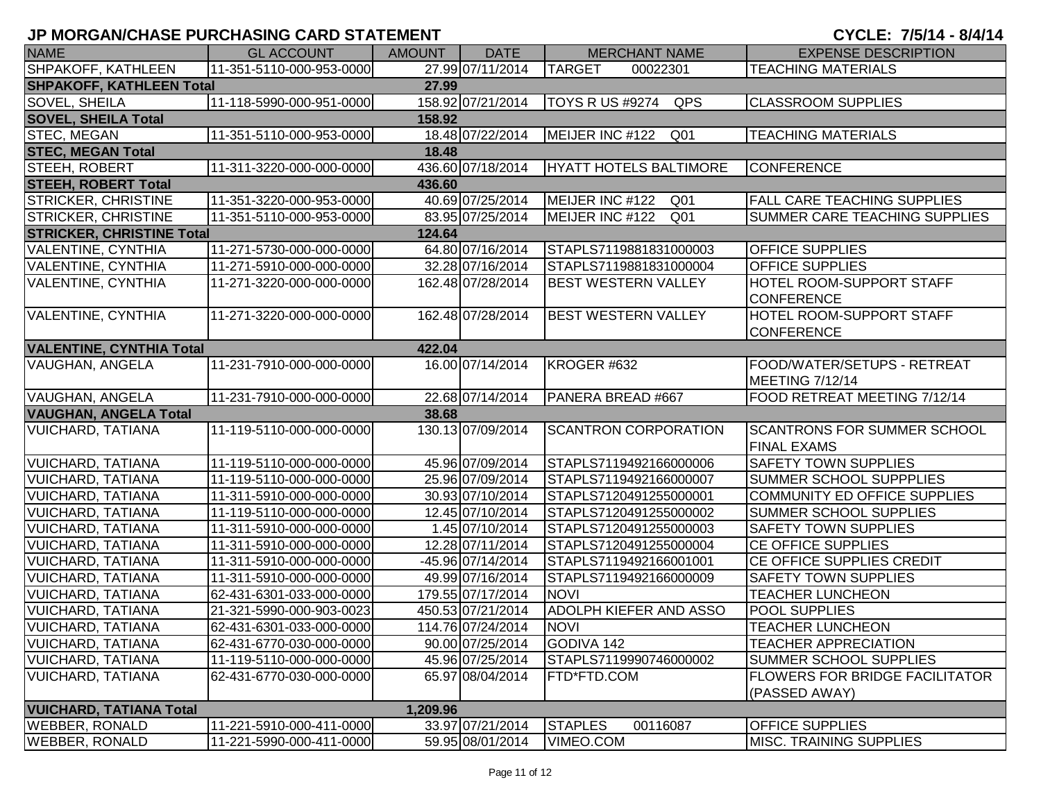| <b>NAME</b>                      | <b>GL ACCOUNT</b>        | <b>AMOUNT</b> | <b>DATE</b>       | <b>MERCHANT NAME</b>               | <b>EXPENSE DESCRIPTION</b>                               |
|----------------------------------|--------------------------|---------------|-------------------|------------------------------------|----------------------------------------------------------|
| SHPAKOFF, KATHLEEN               | 11-351-5110-000-953-0000 |               | 27.99 07/11/2014  | <b>TARGET</b><br>00022301          | <b>TEACHING MATERIALS</b>                                |
| <b>SHPAKOFF, KATHLEEN Total</b>  |                          | 27.99         |                   |                                    |                                                          |
| <b>SOVEL, SHEILA</b>             | 11-118-5990-000-951-0000 |               | 158.92 07/21/2014 | <b>TOYS R US #9274</b><br>QPS      | <b>CLASSROOM SUPPLIES</b>                                |
| <b>SOVEL, SHEILA Total</b>       |                          | 158.92        |                   |                                    |                                                          |
| <b>STEC, MEGAN</b>               | 11-351-5110-000-953-0000 |               | 18.48 07/22/2014  | MEIJER INC #122<br>Q01             | <b>TEACHING MATERIALS</b>                                |
| <b>STEC, MEGAN Total</b>         |                          | 18.48         |                   |                                    |                                                          |
| STEEH, ROBERT                    | 11-311-3220-000-000-0000 |               | 436.60 07/18/2014 | HYATT HOTELS BALTIMORE             | <b>CONFERENCE</b>                                        |
| <b>STEEH, ROBERT Total</b>       |                          | 436.60        |                   |                                    |                                                          |
| <b>STRICKER, CHRISTINE</b>       | 11-351-3220-000-953-0000 |               | 40.69 07/25/2014  | MEIJER INC #122<br>Q <sub>01</sub> | <b>FALL CARE TEACHING SUPPLIES</b>                       |
| <b>STRICKER, CHRISTINE</b>       | 11-351-5110-000-953-0000 |               | 83.95 07/25/2014  | MEIJER INC #122<br>Q <sub>01</sub> | SUMMER CARE TEACHING SUPPLIES                            |
| <b>STRICKER, CHRISTINE Total</b> |                          | 124.64        |                   |                                    |                                                          |
| VALENTINE, CYNTHIA               | 11-271-5730-000-000-0000 |               | 64.80 07/16/2014  | STAPLS7119881831000003             | <b>OFFICE SUPPLIES</b>                                   |
| <b>VALENTINE, CYNTHIA</b>        | 11-271-5910-000-000-0000 |               | 32.28 07/16/2014  | STAPLS7119881831000004             | <b>OFFICE SUPPLIES</b>                                   |
| <b>VALENTINE, CYNTHIA</b>        | 11-271-3220-000-000-0000 |               | 162.48 07/28/2014 | <b>BEST WESTERN VALLEY</b>         | HOTEL ROOM-SUPPORT STAFF<br><b>CONFERENCE</b>            |
| <b>VALENTINE, CYNTHIA</b>        | 11-271-3220-000-000-0000 |               | 162.48 07/28/2014 | <b>BEST WESTERN VALLEY</b>         | HOTEL ROOM-SUPPORT STAFF<br><b>CONFERENCE</b>            |
| <b>VALENTINE, CYNTHIA Total</b>  |                          | 422.04        |                   |                                    |                                                          |
| VAUGHAN, ANGELA                  | 11-231-7910-000-000-0000 |               | 16.00 07/14/2014  | KROGER #632                        | FOOD/WATER/SETUPS - RETREAT<br>MEETING 7/12/14           |
| VAUGHAN, ANGELA                  | 11-231-7910-000-000-0000 |               | 22.68 07/14/2014  | PANERA BREAD #667                  | FOOD RETREAT MEETING 7/12/14                             |
| <b>VAUGHAN, ANGELA Total</b>     |                          | 38.68         |                   |                                    |                                                          |
| <b>VUICHARD, TATIANA</b>         | 11-119-5110-000-000-0000 |               | 130.13 07/09/2014 | <b>SCANTRON CORPORATION</b>        | <b>SCANTRONS FOR SUMMER SCHOOL</b><br><b>FINAL EXAMS</b> |
| <b>VUICHARD, TATIANA</b>         | 11-119-5110-000-000-0000 |               | 45.96 07/09/2014  | STAPLS7119492166000006             | <b>SAFETY TOWN SUPPLIES</b>                              |
| <b>VUICHARD, TATIANA</b>         | 11-119-5110-000-000-0000 |               | 25.96 07/09/2014  | STAPLS7119492166000007             | SUMMER SCHOOL SUPPPLIES                                  |
| <b>VUICHARD, TATIANA</b>         | 11-311-5910-000-000-0000 |               | 30.93 07/10/2014  | STAPLS7120491255000001             | COMMUNITY ED OFFICE SUPPLIES                             |
| <b>VUICHARD, TATIANA</b>         | 11-119-5110-000-000-0000 |               | 12.45 07/10/2014  | STAPLS7120491255000002             | SUMMER SCHOOL SUPPLIES                                   |
| <b>VUICHARD, TATIANA</b>         | 11-311-5910-000-000-0000 |               | 1.45 07/10/2014   | STAPLS7120491255000003             | <b>SAFETY TOWN SUPPLIES</b>                              |
| <b>VUICHARD, TATIANA</b>         | 11-311-5910-000-000-0000 |               | 12.28 07/11/2014  | STAPLS7120491255000004             | CE OFFICE SUPPLIES                                       |
| <b>VUICHARD, TATIANA</b>         | 11-311-5910-000-000-0000 |               | -45.96 07/14/2014 | STAPLS7119492166001001             | CE OFFICE SUPPLIES CREDIT                                |
| <b>VUICHARD, TATIANA</b>         | 11-311-5910-000-000-0000 |               | 49.99 07/16/2014  | STAPLS7119492166000009             | SAFETY TOWN SUPPLIES                                     |
| <b>VUICHARD, TATIANA</b>         | 62-431-6301-033-000-0000 |               | 179.55 07/17/2014 | <b>NOVI</b>                        | <b>TEACHER LUNCHEON</b>                                  |
| <b>VUICHARD, TATIANA</b>         | 21-321-5990-000-903-0023 |               | 450.53 07/21/2014 | ADOLPH KIEFER AND ASSO             | POOL SUPPLIES                                            |
| VUICHARD, TATIANA                | 62-431-6301-033-000-0000 |               | 114.76 07/24/2014 | <b>NOVI</b>                        | <b>TEACHER LUNCHEON</b>                                  |
| <b>VUICHARD, TATIANA</b>         | 62-431-6770-030-000-0000 |               | 90.00 07/25/2014  | GODIVA 142                         | <b>TEACHER APPRECIATION</b>                              |
| VUICHARD, TATIANA                | 11-119-5110-000-000-0000 |               | 45.96 07/25/2014  | STAPLS7119990746000002             | <b>SUMMER SCHOOL SUPPLIES</b>                            |
| <b>VUICHARD, TATIANA</b>         | 62-431-6770-030-000-0000 |               | 65.97 08/04/2014  | FTD*FTD.COM                        | <b>FLOWERS FOR BRIDGE FACILITATOR</b><br>(PASSED AWAY)   |
| <b>VUICHARD, TATIANA Total</b>   |                          | 1,209.96      |                   |                                    |                                                          |
| <b>WEBBER, RONALD</b>            | 11-221-5910-000-411-0000 |               | 33.97 07/21/2014  | <b>STAPLES</b><br>00116087         | OFFICE SUPPLIES                                          |
| <b>WEBBER, RONALD</b>            | 11-221-5990-000-411-0000 |               | 59.95 08/01/2014  | VIMEO.COM                          | <b>MISC. TRAINING SUPPLIES</b>                           |